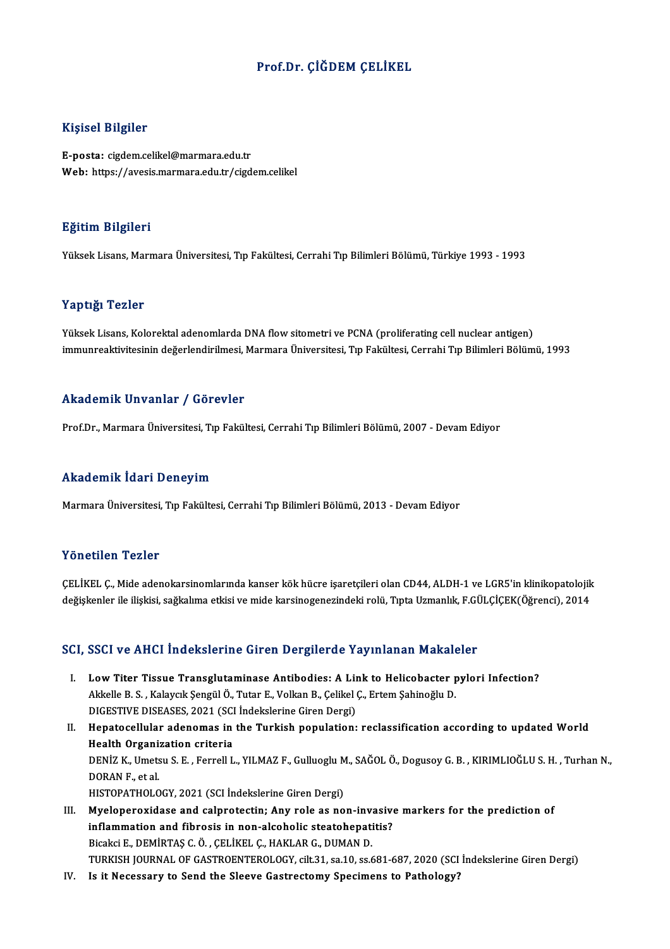### Prof.Dr. ÇİĞDEM ÇELİKEL

#### Kişisel Bilgiler

E-posta: cigdem.celikel@marmara.edu.tr Web: https://avesis.marmara.edu.tr/cigdem.celikel

#### Eğitim Bilgileri

YüksekLisans,MarmaraÜniversitesi,Tıp Fakültesi,CerrahiTıpBilimleriBölümü,Türkiye 1993 -1993

#### Yaptığı Tezler

Yüksek Lisans, Kolorektal adenomlarda DNA flow sitometri ve PCNA (proliferating cell nuclear antigen) immunreaktivitesinin değerlendirilmesi, Marmara Üniversitesi, Tıp Fakültesi, Cerrahi Tıp Bilimleri Bölümü, 1993

#### Akademik Unvanlar / Görevler

Prof.Dr., Marmara Üniversitesi, Tıp Fakültesi, Cerrahi Tıp Bilimleri Bölümü, 2007 - Devam Ediyor

#### Akademik İdari Deneyim

Marmara Üniversitesi, Tıp Fakültesi, Cerrahi Tıp Bilimleri Bölümü, 2013 - Devam Ediyor

#### Yönetilen Tezler

Yönetilen Tezler<br>ÇELİKEL Ç., Mide adenokarsinomlarında kanser kök hücre işaretçileri olan CD44, ALDH-1 ve LGR5'in klinikopatolojik<br>değişkanlar ile ilişkisi, seğkalıma etkisi ve mide karsinegenegindeki reki: "Ente Uzmanlık, 1 ONCENCH-1 OLICI<br>ÇELİKEL Ç., Mide adenokarsinomlarında kanser kök hücre işaretçileri olan CD44, ALDH-1 ve LGR5'in klinikopatolojik<br>değişkenler ile ilişkisi, sağkalıma etkisi ve mide karsinogenezindeki rolü, Tıpta Uzmanlık değişkenler ile ilişkisi, sağkalıma etkisi ve mide karsinogenezindeki rolü, Tıpta Uzmanlık, F.GÜLÇİÇEK(Öğrenci), 2014<br>SCI, SSCI ve AHCI İndekslerine Giren Dergilerde Yayınlanan Makaleler

- CI, SSCI ve AHCI İndekslerine Giren Dergilerde Yayınlanan Makaleler<br>I. Low Titer Tissue Transglutaminase Antibodies: A Link to Helicobacter pylori Infection?<br>Akkelle B.S. Kalayçık Sangül Ö. Tutar E. Velkan B. Celikel G. Ey BBBT VƏTINDI INQUIDIDING ƏN DI BÜŞINIYƏTIĞ TIŞTIMININ PIRININ<br>Akkelle B.S., Kalaycık Şengül Ö., Tutar E., Volkan B., Çelikel Ç., Ertem Şahinoğlu D.<br>DICESTIVE DISEASES, 2021 (SCLİndekslərinə Girən Dergi) Low Titer Tissue Transglutaminase Antibodies: A Lindukkelle B. S. , Kalaycık Şengül Ö., Tutar E., Volkan B., Çelikel<br>DIGESTIVE DISEASES, 2021 (SCI İndekslerine Giren Dergi)<br>Hanatagallular adanamas in the Turkish napulation DIGESTIVE DISEASES, 2021 (SCI Indekslerine Giren Dergi)
- Akkelle B. S. , Kalaycık Şengül Ö., Tutar E., Volkan B., Çelikel Ç., Ertem Şahinoğlu D.<br>DIGESTIVE DISEASES, 2021 (SCI İndekslerine Giren Dergi)<br>II. Hepatocellular adenomas in the Turkish population: reclassification accord Hepatocellular adenomas in the Turkish population: reclassification according to updated World<br>Health Organization criteria<br>DENİZ K., Umetsu S. E. , Ferrell L., YILMAZ F., Gulluoglu M., SAĞOL Ö., Dogusoy G. B. , KIRIMLIOĞL Hea<mark>lth Organi:</mark><br>DENİZ K., Umets<br>DORAN F., et al.<br>HISTORATHOLO DENİZ K., Umetsu S. E. , Ferrell L., YILMAZ F., Gulluoglu M<br>DORAN F., et al.<br>HISTOPATHOLOGY, 2021 (SCI İndekslerine Giren Dergi)<br>Muelenergyidese and selpratestin: Any rele as no DORAN F., et al.<br>HISTOPATHOLOGY, 2021 (SCI Indekslerine Giren Dergi)<br>III. Myeloperoxidase and calprotectin; Any role as non-invasive markers for the prediction of<br>inflammation and fibrosis in non-alsoholis statishenstitis?
	-
- HISTOPATHOLOGY, 2021 (SCI İndekslerine Giren Dergi)<br>Myeloperoxidase and calprotectin; Any role as non-invasive<br>inflammation and fibrosis in non-alcoholic steatohepatitis?<br>Pisaksi E. DEMIPTAS C.Ö., CELİVEL C. HAVLAR C. DUMA Myeloperoxidase and calprotectin; Any role as non-invantion and fibrosis in non-alcoholic steatohepation<br>Bicakci E., DEMİRTAŞ C.Ö. , ÇELİKEL Ç., HAKLAR G., DUMAN D.<br>TURKISH JOURNAL OF CASTROFNTEROLOCY , SİL 31, S2 10, S2 6 inflammation and fibrosis in non-alcoholic steatohepatitis?<br>Bicakci E., DEMİRTAŞ C. Ö. , ÇELİKEL Ç., HAKLAR G., DUMAN D.<br>TURKISH JOURNAL OF GASTROENTEROLOGY, cilt.31, sa.10, ss.681-687, 2020 (SCI İndekslerine Giren Dergi)
- IV. Is it Necessary to Send the Sleeve Gastrectomy Specimens to Pathology?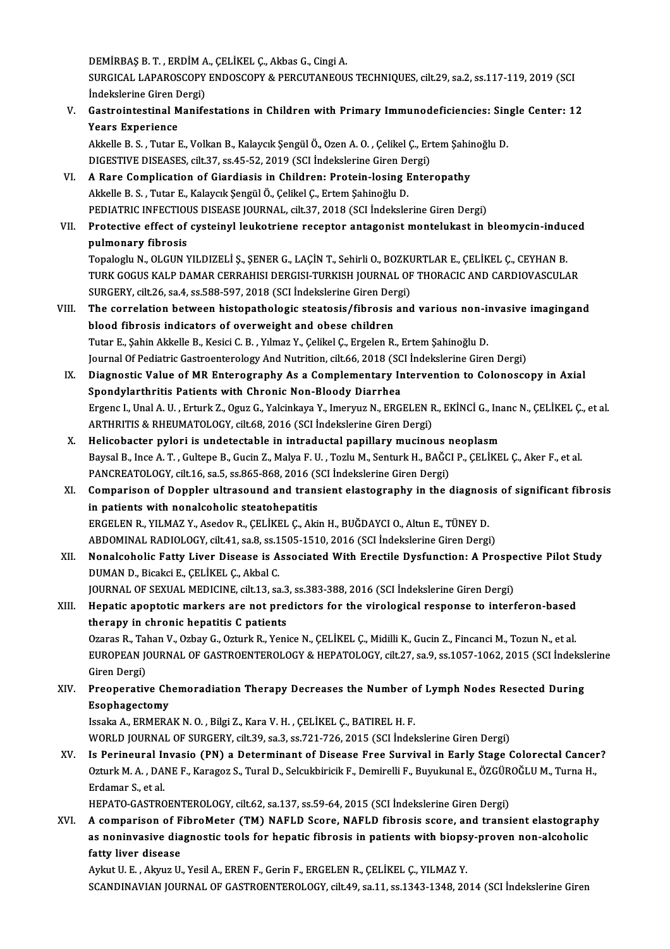DEMİRBAŞB.T. ,ERDİMA.,ÇELİKEL Ç.,AkbasG.,CingiA.

DEMİRBAŞ B. T. , ERDİM A., ÇELİKEL Ç., Akbas G., Cingi A.<br>SURGICAL LAPAROSCOPY ENDOSCOPY & PERCUTANEOUS TECHNIQUES, cilt.29, sa.2, ss.117-119, 2019 (SCI DEMİRBAŞ B. T. , ERDİM A<br>SURGICAL LAPAROSCOPY<br>İndekslerine Giren Dergi)<br>Costrointestinal Manifa SURGICAL LAPAROSCOPY ENDOSCOPY & PERCUTANEOUS TECHNIQUES, cilt.29, sa.2, ss.117-119, 2019 (SCI<br>Indekslerine Giren Dergi)<br>V. Gastrointestinal Manifestations in Children with Primary Immunodeficiencies: Single Center: 12<br>Vea

Indekslerine Giren D<br>Gastrointestinal M<br>Years Experience<br>Akkelle B.S. Tuter L Gastrointestinal Manifestations in Children with Primary Immunodeficiencies: Sin<br>Years Experience<br>Akkelle B. S. , Tutar E., Volkan B., Kalaycık Şengül Ö., Ozen A. O. , Çelikel Ç., Ertem Şahinoğlu D.<br>DICESTIVE DISEASES, sil

Years Experience<br>Akkelle B. S. , Tutar E., Volkan B., Kalaycık Şengül Ö., Ozen A. O. , Çelikel Ç., Er<br>DIGESTIVE DISEASES, cilt.37, ss.45-52, 2019 (SCI İndekslerine Giren Dergi)<br>A Bare Complication of Giardiosis in Childron Akkelle B. S., Tutar E., Volkan B., Kalaycık Şengül Ö., Ozen A. O., Çelikel Ç., Ertem Şahir<br>DIGESTIVE DISEASES, cilt.37, ss.45-52, 2019 (SCI İndekslerine Giren Dergi)<br>VI. A Rare Complication of Giardiasis in Children: Prot

- DIGESTIVE DISEASES, cilt.37, ss.45-52, 2019 (SCI İndekslerine Giren Dergi)<br>VI. A Rare Complication of Giardiasis in Children: Protein-losing Enteropathy<br>Akkelle B. S. , Tutar E., Kalaycık Şengül Ö., Çelikel Ç., Ertem Şahin A Rare Complication of Giardiasis in Children: Protein-losing Enteropathy<br>Akkelle B. S., Tutar E., Kalaycık Şengül Ö., Çelikel Ç., Ertem Şahinoğlu D.<br>PEDIATRIC INFECTIOUS DISEASE JOURNAL, cilt.37, 2018 (SCI İndekslerine Gi
- Akkelle B. S. , Tutar E., Kalaycık Şengül Ö., Çelikel Ç., Ertem Şahinoğlu D.<br>PEDIATRIC INFECTIOUS DISEASE JOURNAL, cilt.37, 2018 (SCI İndekslerine Giren Dergi)<br>VII. Protective effect of cysteinyl leukotriene receptor antag PEDIATRIC INFECTION<br>Protective effect of<br>pulmonary fibrosis<br>Tenalogly N. OL CUNA Protective effect of cysteinyl leukotriene receptor antagonist montelukast in bleomycin-indue<br>pulmonary fibrosis<br>Topaloglu N., OLGUN YILDIZELİ Ş., ŞENER G., LAÇİN T., Sehirli O., BOZKURTLAR E., ÇELİKEL Ç., CEYHAN B.<br>TURK C

pulmonary fibrosis<br>Topaloglu N., OLGUN YILDIZELİ Ş., ŞENER G., LAÇİN T., Sehirli O., BOZKURTLAR E., ÇELİKEL Ç., CEYHAN B.<br>TURK GOGUS KALP DAMAR CERRAHISI DERGISI-TURKISH JOURNAL OF THORACIC AND CARDIOVASCULAR<br>SURCERY, S<sup>il</sup> Topaloglu N., OLGUN YILDIZELİ Ş., ŞENER G., LAÇİN T., Sehirli O., BOZKU<br>TURK GOGUS KALP DAMAR CERRAHISI DERGISI-TURKISH JOURNAL OF<br>SURGERY, cilt.26, sa.4, ss.588-597, 2018 (SCI İndekslerine Giren Dergi)<br>The conrelation bet TURK GOGUS KALP DAMAR CERRAHISI DERGISI-TURKISH JOURNAL OF THORACIC AND CARDIOVASCULAR<br>SURGERY, cilt.26, sa.4, ss.588-597, 2018 (SCI Indekslerine Giren Dergi)<br>VIII. The correlation between histopathologic steatosis/fibrosi

- SURGERY, cilt.26, sa.4, ss.588-597, 2018 (SCI İndekslerine Giren Dergi)<br>The correlation between histopathologic steatosis/fibrosis and various non-in<br>blood fibrosis indicators of overweight and obese children<br>Tutar E., Sah The correlation between histopathologic steatosis/fibrosis and various non-invasive imagingand Journal Of Pediatric Gastroenterology And Nutrition, cilt.66, 2018 (SCI İndekslerine Giren Dergi) Tutar E., Şahin Akkelle B., Kesici C. B. , Yılmaz Y., Çelikel Ç., Ergelen R., Ertem Şahinoğlu D.<br>Journal Of Pediatric Gastroenterology And Nutrition, cilt.66, 2018 (SCI İndekslerine Giren Dergi)<br>IX. Diagnostic Value of MR
- Journal Of Pediatric Gastroenterology And Nutrition, cilt.66, 2018 (SC<br>Diagnostic Value of MR Enterography As a Complementary In<br>Spondylarthritis Patients with Chronic Non-Bloody Diarrhea<br>Freenc L Unal A. U., Erturk Z., Og Diagnostic Value of MR Enterography As a Complementary Intervention to Colonoscopy in Axial<br>Spondylarthritis Patients with Chronic Non-Bloody Diarrhea<br>Ergenc I., Unal A. U. , Erturk Z., Oguz G., Yalcinkaya Y., Imeryuz N., Spondylarthritis Patients with Chronic Non-Bloody Diarrhea<br>Ergenc I., Unal A. U. , Erturk Z., Oguz G., Yalcinkaya Y., Imeryuz N., ERGELEN R., EKİNCİ G., Inanc N., ÇELİKEL Ç., et al.<br>ARTHRITIS & RHEUMATOLOGY, cilt.68, 2016
- X. Helicobacter pylori is undetectable in intraductal papillary mucinous neoplasm ARTHRITIS & RHEUMATOLOGY, cilt.68, 2016 (SCI İndekslerine Giren Dergi)<br>Helicobacter pylori is undetectable in intraductal papillary mucinous neoplasm<br>Baysal B., Ince A. T. , Gultepe B., Gucin Z., Malya F. U. , Tozlu M., Se Helicobacter pylori is undetectable in intraductal papillary mucinous r<br>Baysal B., Ince A. T. , Gultepe B., Gucin Z., Malya F. U. , Tozlu M., Senturk H., BAĞC<br>PANCREATOLOGY, cilt.16, sa.5, ss.865-868, 2016 (SCI İndekslerin Baysal B., Ince A. T. , Gultepe B., Gucin Z., Malya F. U. , Tozlu M., Senturk H., BAĞCI P., ÇELİKEL Ç., Aker F., et al.<br>PANCREATOLOGY, cilt.16, sa.5, ss.865-868, 2016 (SCI İndekslerine Giren Dergi)<br>XI. Comparison of Dopple
- PANCREATOLOGY, cilt.16, sa.5, ss.865-868, 2016 (S<br>Comparison of Doppler ultrasound and trans<br>in patients with nonalcoholic steatohepatitis<br>EPCELEN B. VILMAZ Y. Asedov B. CELIKEL C. Abi Comparison of Doppler ultrasound and transient elastography in the diagnosi<br>in patients with nonalcoholic steatohepatitis<br>ERGELEN R., YILMAZ Y., Asedov R., ÇELİKEL Ç., Akin H., BUĞDAYCI O., Altun E., TÜNEY D.<br>APDOMINAL BAD in patients with nonalcoholic steatohepatitis<br>ERGELEN R., YILMAZ Y., Asedov R., ÇELİKEL Ç., Akin H., BUĞDAYCI O., Altun E., TÜNEY D. ABDOMINAL RADIOLOGY, cilt.41, sa.8, ss.1505-1510, 2016 (SCI İndekslerine Giren Dergi)
- XII. Nonalcoholic Fatty Liver Disease is Associated With Erectile Dysfunction: A Prospective Pilot Study<br>DUMAN D., Bicakci E., CELIKEL C., Akbal C. Nonalcoholic Fatty Liver Disease is Associated With Erectile Dysfunction: A Prospe<br>DUMAN D., Bicakci E., ÇELİKEL Ç., Akbal C.<br>JOURNAL OF SEXUAL MEDICINE, cilt.13, sa.3, ss.383-388, 2016 (SCI İndekslerine Giren Dergi)<br>Hanat
- DUMAN D., Bicakci E., ÇELİKEL Ç., Akbal C.<br>JOURNAL OF SEXUAL MEDICINE, cilt.13, sa.3, ss.383-388, 2016 (SCI İndekslerine Giren Dergi)<br>XIII. Hepatic apoptotic markers are not predictors for the virological response to i JOURNAL OF SEXUAL MEDICINE, cilt.13, sa.3<br>Hepatic apoptotic markers are not pree<br>therapy in chronic hepatitis C patients<br>Oranas B. Taban V. Orbay C. Orturk B. Vani Hepatic apoptotic markers are not predictors for the virological response to interferon-based<br>therapy in chronic hepatitis C patients<br>Ozaras R., Tahan V., Ozbay G., Ozturk R., Yenice N., ÇELİKEL Ç., Midilli K., Gucin Z., F

therapy in chronic hepatitis C patients<br>Ozaras R., Tahan V., Ozbay G., Ozturk R., Yenice N., ÇELİKEL Ç., Midilli K., Gucin Z., Fincanci M., Tozun N., et al.<br>EUROPEAN JOURNAL OF GASTROENTEROLOGY & HEPATOLOGY, cilt.27, sa.9, Ozaras R., Tal<br>EUROPEAN J(<br>Giren Dergi)<br>Preeneratiu EUROPEAN JOURNAL OF GASTROENTEROLOGY & HEPATOLOGY, cilt.27, sa.9, ss.1057-1062, 2015 (SCI İndeksl<br>Giren Dergi)<br>XIV. Preoperative Chemoradiation Therapy Decreases the Number of Lymph Nodes Resected During<br>Esonbagestamy

Giren Dergi)<br>Preoperative Chemoradiation Therapy Decreases the Number of Lymph Nodes Resected During<br>Esophagectomy

IssakaA.,ERMERAKN.O. ,BilgiZ.,KaraV.H. ,ÇELİKEL Ç.,BATIRELH.F. WORLD JOURNAL OF SURGERY, cilt.39, sa.3, ss.721-726, 2015 (SCI İndekslerine Giren Dergi)

Issaka A., ERMERAK N. O. , Bilgi Z., Kara V. H. , ÇELİKEL Ç., BATIREL H. F.<br>WORLD JOURNAL OF SURGERY, cilt.39, sa.3, ss.721-726, 2015 (SCI İndekslerine Giren Dergi)<br>XV. Is Perineural Invasio (PN) a Determinant of Disease F WORLD JOURNAL OF SURGERY, cilt.39, sa.3, ss.721-726, 2015 (SCI İndekslerine Giren Dergi)<br>Is Perineural Invasio (PN) a Determinant of Disease Free Survival in Early Stage Colorectal Cancel<br>Ozturk M. A. , DANE F., Karagoz S. Is Perineural I<mark>I</mark><br>Ozturk M. A. , DA!<br>Erdamar S., et al.<br>UERATO CASTRC Ozturk M. A. , DANE F., Karagoz S., Tural D., Selcukbiricik F., Demirelli F., Buyukunal E., ÖZGÜROĞLU M., Turna H.,<br>Erdamar S., et al.<br>HEPATO-GASTROENTEROLOGY, cilt.62, sa.137, ss.59-64, 2015 (SCI İndekslerine Giren Dergi)

Erdamar S., et al.<br>HEPATO-GASTROENTEROLOGY, cilt.62, sa.137, ss.59-64, 2015 (SCI İndekslerine Giren Dergi)<br>XVI. A comparison of FibroMeter (TM) NAFLD Score, NAFLD fibrosis score, and transient elastography<br>28 noninyasiya d HEPATO-GASTROENTEROLOGY, cilt.62, sa.137, ss.59-64, 2015 (SCI İndekslerine Giren Dergi)<br>A comparison of FibroMeter (TM) NAFLD Score, NAFLD fibrosis score, and transient elastograph<br>as noninvasive diagnostic tools for hepat A comparison of F<br>as noninvasive dia<br>fatty liver disease<br>Arlnu II F Almus II as noninvasive diagnostic tools for hepatic fibrosis in patients with biops<br>fatty liver disease<br>Aykut U.E., Akyuz U., Yesil A., EREN F., Gerin F., ERGELEN R., ÇELİKEL Ç., YILMAZ Y.<br>SCANDINAVIAN JOUPNAL OF CASTROENTEROLOCY,

fatty liver disease<br>Aykut U. E. , Akyuz U., Yesil A., EREN F., Gerin F., ERGELEN R., ÇELİKEL Ç., YILMAZ Y.<br>SCANDINAVIAN JOURNAL OF GASTROENTEROLOGY, cilt.49, sa.11, ss.1343-1348, 2014 (SCI İndekslerine Giren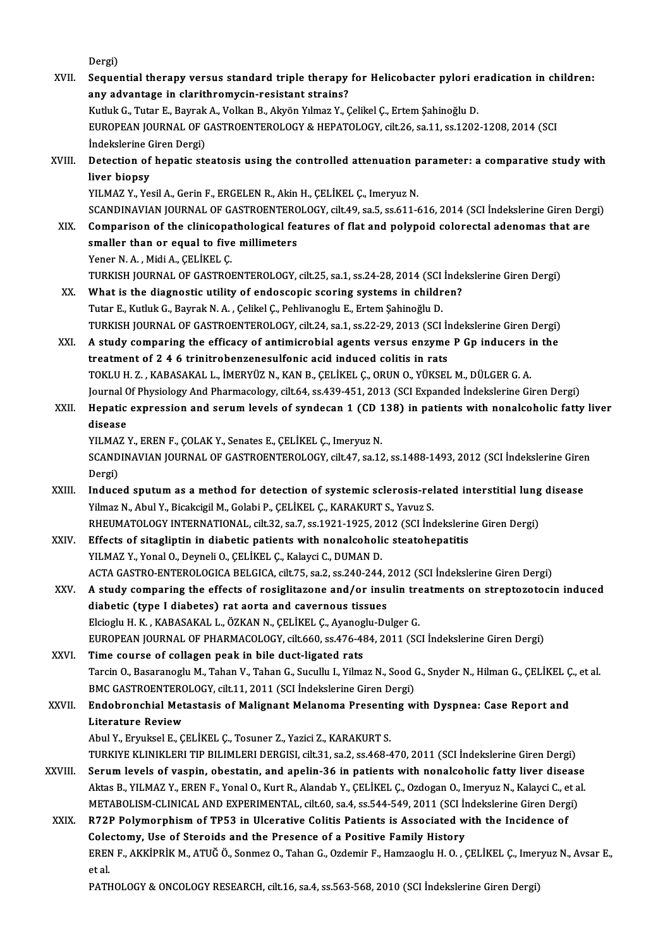Dergi)

Dergi)<br>XVII. Sequential therapy versus standard triple therapy for Helicobacter pylori eradication in children:<br>2 . any edventere in clerithremysin resistent straine? Dergi)<br>Sequential therapy versus standard triple therapy<br>any advantage in clarithromycin-resistant strains?<br>Kuthk G. Tutar E. Bayrek A. Volkan B. Alvén Vumer V. G Sequential therapy versus standard triple therapy for Helicobacter pylori e<br>any advantage in clarithromycin-resistant strains?<br>Kutluk G., Tutar E., Bayrak A., Volkan B., Akyön Yılmaz Y., Çelikel Ç., Ertem Şahinoğlu D.<br>EURO any advantage in clarithromycin-resistant strains?<br>Kutluk G., Tutar E., Bayrak A., Volkan B., Akyön Yılmaz Y., Çelikel Ç., Ertem Şahinoğlu D.<br>EUROPEAN JOURNAL OF GASTROENTEROLOGY & HEPATOLOGY, cilt.26, sa.11, ss.1202-1208, Kutluk G., Tutar E., Bayrak<br>EUROPEAN JOURNAL OF C<br>İndekslerine Giren Dergi)<br>Detection of benatic sta EUROPEAN JOURNAL OF GASTROENTEROLOGY & HEPATOLOGY, cilt.26, sa.11, ss.1202-1208, 2014 (SCI<br>Indekslerine Giren Dergi)<br>XVIII. Detection of hepatic steatosis using the controlled attenuation parameter: a comparative study wit indekslerine C<br>Detection of<br>liver biopsy<br><sup>VII MAZ V Vo</sup> Detection of hepatic steatosis using the controlled attenuation p<br>liver biopsy<br>YILMAZ Y., Yesil A., Gerin F., ERGELEN R., Akin H., ÇELİKEL Ç., Imeryuz N.<br>SCANDINAVIAN JOUPNAL OF CASTROFNTEROLOGY, silt 49, sa 5, ss 611 4 liver biopsy<br>YILMAZ Y., Yesil A., Gerin F., ERGELEN R., Akin H., ÇELİKEL Ç., Imeryuz N.<br>SCANDINAVIAN JOURNAL OF GASTROENTEROLOGY, cilt.49, sa.5, ss.611-616, 2014 (SCI İndekslerine Giren Dergi) YILMAZ Y., Yesil A., Gerin F., ERGELEN R., Akin H., ÇELİKEL Ç., Imeryuz N.<br>SCANDINAVIAN JOURNAL OF GASTROENTEROLOGY, cilt.49, sa.5, ss.611-616, 2014 (SCI İndekslerine Giren Der<br>XIX. Comparison of the clinicopathological fe SCANDINAVIAN JOURNAL OF GASTROENTERC<br>Comparison of the clinicopathological fear<br>smaller than or equal to five millimeters<br>Yoner N.A. Midi A. CELUEL C Comparison of the clinicopa<br>smaller than or equal to five<br>Yener N.A., Midi A., ÇELİKEL Ç.<br>TURKEN JOURNAL OF CASTROL smaller than or equal to five millimeters<br>Yener N. A. , Midi A., ÇELİKEL Ç.<br>TURKISH JOURNAL OF GASTROENTEROLOGY, cilt.25, sa.1, ss.24-28, 2014 (SCI İndekslerine Giren Dergi)<br>What is the disgnestis utility of endessenis sse Yener N. A. , Midi A., ÇELİKEL Ç.<br>TURKISH JOURNAL OF GASTROENTEROLOGY, cilt.25, sa.1, ss.24-28, 2014 (SCI İnde<br>XX. What is the diagnostic utility of endoscopic scoring systems in children?<br>Tutar E., Kutluk G., Bayrak N. A. TURKISH JOURNAL OF GASTROENTEROLOGY, cilt.25, sa.1, ss.24-28, 2014 (SCI<br>What is the diagnostic utility of endoscopic scoring systems in childr<br>Tutar E., Kutluk G., Bayrak N. A. , Çelikel Ç., Pehlivanoglu E., Ertem Şahinoğl What is the diagnostic utility of endoscopic scoring systems in children?<br>Tutar E., Kutluk G., Bayrak N. A. , Çelikel Ç., Pehlivanoglu E., Ertem Şahinoğlu D.<br>TURKISH JOURNAL OF GASTROENTEROLOGY, cilt.24, sa.1, ss.22-29, 20 XXI. A study comparing the efficacy of antimicrobial agents versus enzyme P Gp inducers in the treatment of 2 4 6 trinitrobenzenesulfonic acid induced colitis in rats TURKISH JOURNAL OF GASTROENTEROLOGY, cilt.24, sa.1, ss.22-29, 2013 (SCI In<br>A study comparing the efficacy of antimicrobial agents versus enzyme<br>treatment of 2 4 6 trinitrobenzenesulfonic acid induced colitis in rats<br>TOVLU TOKLUH.Z. ,KABASAKAL L., İMERYÜZN.,KANB.,ÇELİKEL Ç.,ORUNO.,YÜKSELM.,DÜLGERG.A. treatment of 2 4 6 trinitrobenzenesulfonic acid induced colitis in rats<br>TOKLU H. Z. , KABASAKAL L., İMERYÜZ N., KAN B., ÇELİKEL Ç., ORUN O., YÜKSEL M., DÜLGER G. A.<br>Journal Of Physiology And Pharmacology, cilt.64, ss.439-4 XXII. Hepatic expression and serum levels of syndecan 1 (CD 138) in patients with nonalcoholic fatty liver<br>disease Journal <mark>C</mark><br>Hepatic<br>disease<br><sup>VII MA7</sup> Hepatic expression and serum levels of syndecan 1 (CD 1<br>disease<br>YILMAZ Y., EREN F., ÇOLAK Y., Senates E., ÇELİKEL Ç., Imeryuz N.<br>SCANDINAVIAN IQUPNAL OF CASTROFNITEROLOCY, SİL47, S213 disease<br>YILMAZ Y., EREN F., ÇOLAK Y., Senates E., ÇELİKEL Ç., Imeryuz N.<br>SCANDINAVIAN JOURNAL OF GASTROENTEROLOGY, cilt.47, sa.12, ss.1488-1493, 2012 (SCI İndekslerine Giren YILMA:<br>SCAND<br>Dergi)<br>Induce SCANDINAVIAN JOURNAL OF GASTROENTEROLOGY, cilt.47, sa.12, ss.1488-1493, 2012 (SCI İndekslerine Giren<br>Dergi)<br>XXIII. Induced sputum as a method for detection of systemic sclerosis-related interstitial lung disease<br>Vilmer N. Dergi)<br>Induced sputum as a method for detection of systemic sclerosis-related interstitial lung disease<br>Yilmaz N., Abul Y., Bicakcigil M., Golabi P., ÇELİKEL Ç., KARAKURT S., Yavuz S. Induced sputum as a method for detection of systemic sclerosis-related interstitial lung<br>Yilmaz N., Abul Y., Bicakcigil M., Golabi P., ÇELİKEL Ç., KARAKURT S., Yavuz S.<br>RHEUMATOLOGY INTERNATIONAL, cilt.32, sa.7, ss.1921-19 Yilmaz N., Abul Y., Bicakcigil M., Golabi P., ÇELİKEL Ç., KARAKURT S., Yavuz S.<br>RHEUMATOLOGY INTERNATIONAL, cilt.32, sa.7, ss.1921-1925, 2012 (SCI İndekslerir<br>XXIV. Effects of sitagliptin in diabetic patients with nonalcoh RHEUMATOLOGY INTERNATIONAL, cilt.32, sa.7, ss.1921-1925, 20<br>Effects of sitagliptin in diabetic patients with nonalcoholi<br>YILMAZ Y., Yonal O., Deyneli O., ÇELİKEL Ç., Kalayci C., DUMAN D.<br>ACTA CASTRO ENTEROLOGICA PELGICA gi Effects of sitagliptin in diabetic patients with nonalcoholic steatohepatitis<br>YILMAZ Y., Yonal O., Deyneli O., ÇELİKEL Ç., Kalayci C., DUMAN D.<br>ACTA GASTRO-ENTEROLOGICA BELGICA, cilt.75, sa.2, ss.240-244, 2012 (SCI İndeksl YILMAZ Y., Yonal O., Deyneli O., ÇELİKEL Ç., Kalayci C., DUMAN D.<br>ACTA GASTRO-ENTEROLOGICA BELGICA, cilt.75, sa.2, ss.240-244, 2012 (SCI İndekslerine Giren Dergi)<br>XXV. A study comparing the effects of rosiglitazone and/or ACTA GASTRO-ENTEROLOGICA BELGICA, cilt.75, sa.2, ss.240-244, 3<br>A study comparing the effects of rosiglitazone and/or insu<br>diabetic (type I diabetes) rat aorta and cavernous tissues<br>Elsiegh: H. K. KARASAKALL, ÖZKAN N. CELUE A study comparing the effects of rosiglitazone and/or insulin tre<br>diabetic (type I diabetes) rat aorta and cavernous tissues<br>Elcioglu H.K., KABASAKAL L., ÖZKAN N., ÇELİKEL Ç., Ayanoglu-Dulger G.<br>EUROPEAN JOURNAL OF PHARMAÇ diabetic (type I diabetes) rat aorta and cavernous tissues<br>Elcioglu H. K., KABASAKAL L., ÖZKAN N., ÇELİKEL Ç., Ayanoglu-Dulger G.<br>EUROPEAN JOURNAL OF PHARMACOLOGY, cilt.660, ss.476-484, 2011 (SCI İndekslerine Giren Dergi)<br> Elcioglu H. K., KABASAKAL L., ÖZKAN N., ÇELİKEL Ç., Ayanoglu-Dulger G.<br>EUROPEAN JOURNAL OF PHARMACOLOGY, cilt.660, ss.476-484, 2011 (SC<br>XXVI. Time course of collagen peak in bile duct-ligated rats EUROPEAN JOURNAL OF PHARMACOLOGY, cilt.660, ss.476-484, 2011 (SCI İndekslerine Giren Dergi)<br>Time course of collagen peak in bile duct-ligated rats<br>Tarcin O., Basaranoglu M., Tahan V., Tahan G., Sucullu I., Yilmaz N., Sood Time course of collagen peak in bile duct-ligated rats<br>Tarcin O., Basaranoglu M., Tahan V., Tahan G., Sucullu I., Yilmaz N., Sood (<br>BMC GASTROENTEROLOGY, cilt.11, 2011 (SCI İndekslerine Giren Dergi)<br>Endekrenebial Metastesi Tarcin O., Basaranoglu M., Tahan V., Tahan G., Sucullu I., Yilmaz N., Sood G., Snyder N., Hilman G., ÇELİKEL Ç<br>BMC GASTROENTEROLOGY, cilt.11, 2011 (SCI İndekslerine Giren Dergi)<br>XXVII. Endobronchial Metastasis of Malignant BMC GASTROENTEROLOGY, cilt.11, 2011 (SCI İndekslerine Giren Dergi)<br>Endobronchial Metastasis of Malignant Melanoma Presenting with Dyspnea: Case Report and<br>Literature Review AbulY.,EryukselE.,ÇELİKEL Ç.,Tosuner Z.,YaziciZ.,KARAKURTS. TURKIYE KLINIKLERI TIP BILIMLERI DERGISI, cilt.31, sa.2, ss.468-470, 2011 (SCI İndekslerine Giren Dergi) Abul Y., Eryuksel E., ÇELİKEL Ç., Tosuner Z., Yazici Z., KARAKURT S.<br>TURKIYE KLINIKLERI TIP BILIMLERI DERGISI, cilt.31, sa.2, ss.468-470, 2011 (SCI İndekslerine Giren Dergi)<br>XXVIII. Serum levels of vaspin, obestatin, and a TURKIYE KLINIKLERI TIP BILIMLERI DERGISI, cilt.31, sa.2, ss.468-470, 2011 (SCI İndekslerine Giren Dergi)<br>Serum levels of vaspin, obestatin, and apelin-36 in patients with nonalcoholic fatty liver disease<br>Aktas B., YILMAZ Y Serum levels of vaspin, obestatin, and apelin-36 in patients with nonalcoholic fatty liver disease<br>Aktas B., YILMAZ Y., EREN F., Yonal O., Kurt R., Alandab Y., ÇELİKEL Ç., Ozdogan O., Imeryuz N., Kalayci C., et a<br>METABOLIS Aktas B., YILMAZ Y., EREN F., Yonal O., Kurt R., Alandab Y., ÇELİKEL Ç., Ozdogan O., Imeryuz N., Kalayci C., e<br>METABOLISM-CLINICAL AND EXPERIMENTAL, cilt.60, sa.4, ss.544-549, 2011 (SCI İndekslerine Giren Derg<br>XXIX. R72P P METABOLISM-CLINICAL AND EXPERIMENTAL, cilt.60, sa.4, ss.544-549, 2011 (SCI In<br>R72P Polymorphism of TP53 in Ulcerative Colitis Patients is Associated w<br>Colectomy, Use of Steroids and the Presence of a Positive Family Histor EREN F., AKKİPRİK M., ATUĞ Ö., Sonmez O., Tahan G., Ozdemir F., Hamzaoglu H. O. , ÇELİKEL Ç., Imeryuz N., Avsar E.,<br>et al. Colectomy, Use of Steroids and the Presence of a Positive Family History PATHOLOGY & ONCOLOGY RESEARCH, cilt.16, sa.4, ss.563-568, 2010 (SCI İndekslerine Giren Dergi)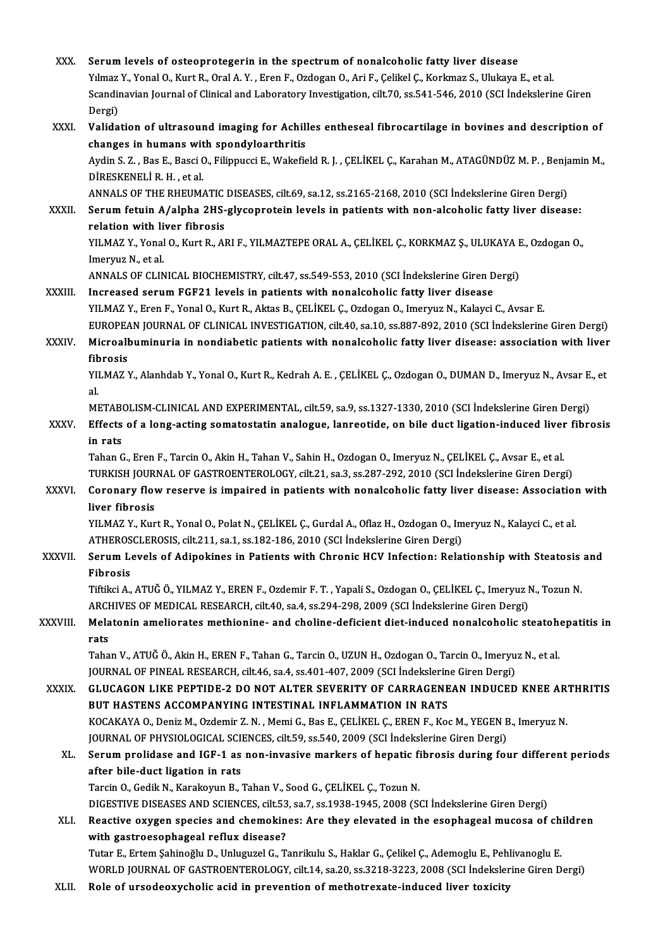| XXX.          | Serum levels of osteoprotegerin in the spectrum of nonalcoholic fatty liver disease                                                                                                                                   |
|---------------|-----------------------------------------------------------------------------------------------------------------------------------------------------------------------------------------------------------------------|
|               | Yılmaz Y., Yonal O., Kurt R., Oral A. Y., Eren F., Ozdogan O., Ari F., Çelikel Ç., Korkmaz S., Ulukaya E., et al.                                                                                                     |
|               | Scandinavian Journal of Clinical and Laboratory Investigation, cilt.70, ss.541-546, 2010 (SCI Indekslerine Giren                                                                                                      |
|               | Dergi)                                                                                                                                                                                                                |
| XXXI.         | Validation of ultrasound imaging for Achilles entheseal fibrocartilage in bovines and description of                                                                                                                  |
|               | changes in humans with spondyloarthritis                                                                                                                                                                              |
|               | Aydin S. Z., Bas E., Basci O., Filippucci E., Wakefield R. J., ÇELİKEL Ç., Karahan M., ATAGÜNDÜZ M. P., Benjamin M.,                                                                                                  |
|               | DİRESKENELİ R.H., et al.                                                                                                                                                                                              |
|               | ANNALS OF THE RHEUMATIC DISEASES, cilt.69, sa.12, ss.2165-2168, 2010 (SCI Indekslerine Giren Dergi)                                                                                                                   |
| XXXII.        | Serum fetuin A/alpha 2HS-glycoprotein levels in patients with non-alcoholic fatty liver disease:<br>relation with liver fibrosis                                                                                      |
|               | YILMAZ Y., Yonal O., Kurt R., ARI F., YILMAZTEPE ORAL A., ÇELİKEL Ç., KORKMAZ Ş., ULUKAYA E., Ozdogan O.,                                                                                                             |
|               | Imeryuz N, et al.                                                                                                                                                                                                     |
|               | ANNALS OF CLINICAL BIOCHEMISTRY, cilt.47, ss.549-553, 2010 (SCI İndekslerine Giren Dergi)                                                                                                                             |
| <b>XXXIII</b> | Increased serum FGF21 levels in patients with nonalcoholic fatty liver disease                                                                                                                                        |
|               | YILMAZ Y., Eren F., Yonal O., Kurt R., Aktas B., ÇELİKEL Ç., Ozdogan O., Imeryuz N., Kalayci C., Avsar E.                                                                                                             |
|               | EUROPEAN JOURNAL OF CLINICAL INVESTIGATION, cilt.40, sa.10, ss.887-892, 2010 (SCI Indekslerine Giren Dergi)                                                                                                           |
| XXXIV.        | Microalbuminuria in nondiabetic patients with nonalcoholic fatty liver disease: association with liver                                                                                                                |
|               | fibrosis                                                                                                                                                                                                              |
|               | YILMAZ Y., Alanhdab Y., Yonal O., Kurt R., Kedrah A. E., ÇELİKEL Ç., Ozdogan O., DUMAN D., Imeryuz N., Avsar E., et                                                                                                   |
|               | al.                                                                                                                                                                                                                   |
|               | METABOLISM-CLINICAL AND EXPERIMENTAL, cilt.59, sa.9, ss.1327-1330, 2010 (SCI İndekslerine Giren Dergi)                                                                                                                |
| XXXV.         | Effects of a long-acting somatostatin analogue, lanreotide, on bile duct ligation-induced liver fibrosis                                                                                                              |
|               | in rats                                                                                                                                                                                                               |
|               | Tahan G., Eren F., Tarcin O., Akin H., Tahan V., Sahin H., Ozdogan O., Imeryuz N., ÇELİKEL Ç., Avsar E., et al<br>TURKISH JOURNAL OF GASTROENTEROLOGY, cilt.21, sa.3, ss.287-292, 2010 (SCI İndekslerine Giren Dergi) |
| <b>XXXVI</b>  | Coronary flow reserve is impaired in patients with nonalcoholic fatty liver disease: Association with                                                                                                                 |
|               | liver fibrosis                                                                                                                                                                                                        |
|               | YILMAZ Y., Kurt R., Yonal O., Polat N., CELİKEL Ç., Gurdal A., Oflaz H., Ozdogan O., Imeryuz N., Kalayci C., et al.                                                                                                   |
|               | ATHEROSCLEROSIS, cilt.211, sa.1, ss.182-186, 2010 (SCI İndekslerine Giren Dergi)                                                                                                                                      |
| XXXVII.       | Serum Levels of Adipokines in Patients with Chronic HCV Infection: Relationship with Steatosis and                                                                                                                    |
|               | Fibrosis                                                                                                                                                                                                              |
|               | Tiftikci A., ATUĞ Ö., YILMAZ Y., EREN F., Ozdemir F. T., Yapali S., Ozdogan O., ÇELİKEL Ç., Imeryuz N., Tozun N.                                                                                                      |
|               | ARCHIVES OF MEDICAL RESEARCH, cilt.40, sa.4, ss.294-298, 2009 (SCI Indekslerine Giren Dergi)                                                                                                                          |
| XXXVIII.      | Melatonin ameliorates methionine- and choline-deficient diet-induced nonalcoholic steatohepatitis in                                                                                                                  |
|               | rats                                                                                                                                                                                                                  |
|               | Tahan V., ATUĞ Ö., Akin H., EREN F., Tahan G., Tarcin O., UZUN H., Ozdogan O., Tarcin O., Imeryuz N., et al.                                                                                                          |
|               | JOURNAL OF PINEAL RESEARCH, cilt.46, sa.4, ss.401-407, 2009 (SCI Indekslerine Giren Dergi)<br>GLUCAGON LIKE PEPTIDE-2 DO NOT ALTER SEVERITY OF CARRAGENEAN INDUCED KNEE ARTHRITIS                                     |
| <b>XXXIX</b>  | BUT HASTENS ACCOMPANYING INTESTINAL INFLAMMATION IN RATS                                                                                                                                                              |
|               | KOCAKAYA O., Deniz M., Ozdemir Z. N., Memi G., Bas E., ÇELİKEL Ç., EREN F., Koc M., YEGEN B., Imeryuz N.                                                                                                              |
|               | JOURNAL OF PHYSIOLOGICAL SCIENCES, cilt.59, ss.540, 2009 (SCI İndekslerine Giren Dergi)                                                                                                                               |
| XL.           | Serum prolidase and IGF-1 as non-invasive markers of hepatic fibrosis during four different periods                                                                                                                   |
|               | after bile-duct ligation in rats                                                                                                                                                                                      |
|               | Tarcin O., Gedik N., Karakoyun B., Tahan V., Sood G., ÇELİKEL Ç., Tozun N.                                                                                                                                            |
|               | DIGESTIVE DISEASES AND SCIENCES, cilt.53, sa.7, ss.1938-1945, 2008 (SCI İndekslerine Giren Dergi)                                                                                                                     |
| XLI.          | Reactive oxygen species and chemokines: Are they elevated in the esophageal mucosa of children                                                                                                                        |
|               | with gastroesophageal reflux disease?                                                                                                                                                                                 |
|               | Tutar E., Ertem Şahinoğlu D., Unluguzel G., Tanrikulu S., Haklar G., Çelikel Ç., Ademoglu E., Pehlivanoglu E.                                                                                                         |
|               | WORLD JOURNAL OF GASTROENTEROLOGY, cilt.14, sa.20, ss.3218-3223, 2008 (SCI İndekslerine Giren Dergi)                                                                                                                  |
| XLII.         | Role of ursodeoxycholic acid in prevention of methotrexate-induced liver toxicity                                                                                                                                     |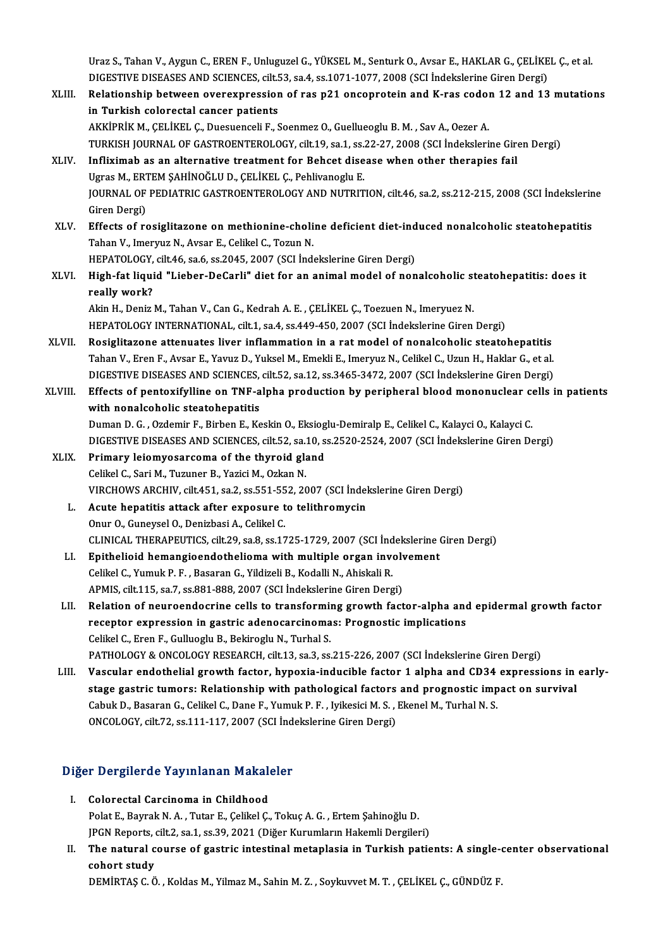Uraz S., Tahan V., Aygun C., EREN F., Unluguzel G., YÜKSEL M., Senturk O., Avsar E., HAKLAR G., ÇELİKEL Ç., et al.<br>DICESTIVE DISEASES AND SCIENCES, silt 53, sa.4, sa.1971, 1977, 2008 (SCI İndelislerine Giren Dergi). Uraz S., Tahan V., Aygun C., EREN F., Unluguzel G., YÜKSEL M., Senturk O., Avsar E., HAKLAR G., ÇELİKE<br>DIGESTIVE DISEASES AND SCIENCES, cilt.53, sa.4, ss.1071-1077, 2008 (SCI İndekslerine Giren Dergi)<br>Pelationabin betusen Uraz S., Tahan V., Aygun C., EREN F., Unluguzel G., YÜKSEL M., Senturk O., Avsar E., HAKLAR G., ÇELİKEL Ç., et al.<br>DIGESTIVE DISEASES AND SCIENCES, cilt.53, sa.4, ss.1071-1077, 2008 (SCI İndekslerine Giren Dergi)<br>XLIII. Re

- DIGESTIVE DISEASES AND SCIENCES, cilt.53, sa.4, ss.1071-1077, 2008 (SCI Indekslerine Giren Dergi)<br>Relationship between overexpression of ras p21 oncoprotein and K-ras codon 12 and 13 mutations<br>in Turkish colorectal cancer AKKİPRİK M., ÇELİKEL Ç., Duesuenceli F., Soenmez O., Guellueoglu B. M., Sav A., Oezer A. in Turkish colorectal cancer patients<br>AKKİPRİK M., ÇELİKEL Ç., Duesuenceli F., Soenmez O., Guellueoglu B. M. , Sav A., Oezer A.<br>TURKISH JOURNAL OF GASTROENTEROLOGY, cilt.19, sa.1, ss.22-27, 2008 (SCI İndekslerine Giren Der
- XLIV. Infliximab as an alternative treatment for Behcet disease when other therapies fail TURKISH JOURNAL OF GASTROENTEROLOGY, cilt.19, sa.1, ss.<br>Infliximab as an alternative treatment for Behcet dise<br>Ugras M., ERTEM SAHİNOĞLU D., ÇELİKEL Ç., Pehlivanoglu E.<br>JOUPNAL OF PEDIATRIC CASTROENTEROLOCY AND NUTRIT Infliximab as an alternative treatment for Behcet disease when other therapies fail<br>Ugras M., ERTEM ŞAHİNOĞLU D., ÇELİKEL Ç., Pehlivanoglu E.<br>JOURNAL OF PEDIATRIC GASTROENTEROLOGY AND NUTRITION, cilt.46, sa.2, ss.212-215, Ugras M., ERT<br>JOURNAL OF<br>Giren Dergi)<br>Effects of re JOURNAL OF PEDIATRIC GASTROENTEROLOGY AND NUTRITION, cilt.46, sa.2, ss.212-215, 2008 (SCI İndekslerin<br>Giren Dergi)<br>XLV. Effects of rosiglitazone on methionine-choline deficient diet-induced nonalcoholic steatohepatitis<br>Tab
- Giren Dergi)<br>Effects of rosiglitazone on methionine-choli<br>Tahan V., Imeryuz N., Avsar E., Celikel C., Tozun N.<br>HERATOLOCY, silt 46, sa 6, sa 2045, 2007, (SCL Ind. Effects of rosiglitazone on methionine-choline deficient diet-ind<br>Tahan V., Imeryuz N., Avsar E., Celikel C., Tozun N.<br>HEPATOLOGY, cilt.46, sa.6, ss.2045, 2007 (SCI İndekslerine Giren Dergi)<br>High fot liquid "Lieber DeCerli
- Tahan V., Imeryuz N., Avsar E., Celikel C., Tozun N.<br>HEPATOLOGY, cilt.46, sa.6, ss.2045, 2007 (SCI İndekslerine Giren Dergi)<br>XLVI. High-fat liquid "Lieber-DeCarli" diet for an animal model of nonalcoholic steatohepatit HEPATOLOGY,<br>High-fat liqui<br>really work?<br>Alin H. Doniz High-fat liquid "Lieber-DeCarli" diet for an animal model of nonalcoholic st<br>really work?<br>Akin H., Deniz M., Tahan V., Can G., Kedrah A. E. , ÇELİKEL Ç., Toezuen N., Imeryuez N.<br>HERATOLOCY INTERNATIONAL silt 1, se 4, se 44 really work?<br>Akin H., Deniz M., Tahan V., Can G., Kedrah A. E. , ÇELİKEL Ç., Toezuen N., Imeryuez N.<br>HEPATOLOGY INTERNATIONAL, cilt.1, sa.4, ss.449-450, 2007 (SCI İndekslerine Giren Dergi)

- XLVII. Rosiglitazone attenuates liver inflammation in a rat model of nonalcoholic steatohepatitis TahanV.,ErenF.,Avsar E.,YavuzD.,YukselM.,EmekliE., ImeryuzN.,CelikelC.,UzunH.,HaklarG.,etal. Rosiglitazone attenuates liver inflammation in a rat model of nonalcoholic steatohepatitis<br>Tahan V., Eren F., Avsar E., Yavuz D., Yuksel M., Emekli E., Imeryuz N., Celikel C., Uzun H., Haklar G., et al<br>DIGESTIVE DISEASES A
- XLVIII. Effects of pentoxifylline on TNF-alpha production by peripheral blood mononuclear cells in patients<br>with nonalcoholic steatohepatitis DIGESTIVE DISEASES AND SCIENCES,<br>Effects of pentoxifylline on TNF-a<br>with nonalcoholic steatohepatitis<br>Duman D.C., Ordemir E. Birban E. Ko Effects of pentoxifylline on TNF-alpha production by peripheral blood mononuclear com<br>with nonalcoholic steatohepatitis<br>Duman D. G. , Ozdemir F., Birben E., Keskin O., Eksioglu-Demiralp E., Celikel C., Kalayci O., Kalayci with nonalcoholic steatohepatitis<br>Duman D. G. , Ozdemir F., Birben E., Keskin O., Eksioglu-Demiralp E., Celikel C., Kalayci O., Kalayci C.<br>DIGESTIVE DISEASES AND SCIENCES, cilt.52, sa.10, ss.2520-2524, 2007 (SCI İndeksleri Duman D. G., Ozdemir F., Birben E., Keskin O., Eksiog<br>DIGESTIVE DISEASES AND SCIENCES, cilt.52, sa.10, s<br>XLIX. Primary leiomyosarcoma of the thyroid gland<br>Colikel C. Sari M. Tugunor B. Varisi M. Ozkan N.
	- DIGESTIVE DISEASES AND SCIENCES, cilt.52, sa.<br>Primary leiomyosarcoma of the thyroid gla<br>Celikel C., Sari M., Tuzuner B., Yazici M., Ozkan N.<br>VIRCHOWS ARCHIV, silt.451, so 2, ss 551, 552, 20 XLIX. Primary leiomyosarcoma of the thyroid gland<br>Celikel C., Sari M., Tuzuner B., Yazici M., Ozkan N.<br>VIRCHOWS ARCHIV, cilt.451, sa.2, ss.551-552, 2007 (SCI İndekslerine Giren Dergi)
		- L. Acute hepatitis attack after exposure to telithromycin Onur O., Guneysel O., Denizbasi A., Celikel C. Acute hepatitis attack after exposure to telithromycin<br>Onur O., Guneysel O., Denizbasi A., Celikel C.<br>CLINICAL THERAPEUTICS, cilt.29, sa.8, ss.1725-1729, 2007 (SCI İndekslerine Giren Dergi)<br>Enithelieid hemangieendethelieme Onur O., Guneysel O., Denizbasi A., Celikel C.<br>CLINICAL THERAPEUTICS, cilt.29, sa.8, ss.1725-1729, 2007 (SCI İndekslerine (<br>LI. Epithelioid hemangioendothelioma with multiple organ involvement<br>Celikel G. Yumuk B. E., Besar
		- Epithelioid hemangioendothelioma with multiple organ involvement<br>Celikel C., Yumuk P. F., Basaran G., Yildizeli B., Kodalli N., Ahiskali R. APMIS, cilt.115, sa.7, ss.881-888, 2007 (SCI İndekslerine Giren Dergi)
		- LII. Relation of neuroendocrine cells to transforming growth factor-alpha and epidermal growth factor APMIS, cilt.115, sa.7, ss.881-888, 2007 (SCI İndekslerine Giren Dergi)<br>Relation of neuroendocrine cells to transforming growth factor-alpha and<br>receptor expression in gastric adenocarcinomas: Prognostic implications<br>Celika Relation of neuroendocrine cells to transformin<br>receptor expression in gastric adenocarcinoma<br>Celikel C., Eren F., Gulluoglu B., Bekiroglu N., Turhal S.<br>PATHOLOGY & ONGOLOGY PESEARCH silt 12.32.23. Celikel C., Eren F., Gulluoglu B., Bekiroglu N., Turhal S.<br>PATHOLOGY & ONCOLOGY RESEARCH, cilt.13, sa.3, ss.215-226, 2007 (SCI İndekslerine Giren Dergi) Celikel C., Eren F., Gulluoglu B., Bekiroglu N., Turhal S.<br>PATHOLOGY & ONCOLOGY RESEARCH, cilt.13, sa.3, ss.215-226, 2007 (SCI İndekslerine Giren Dergi)<br>LIII. Vascular endothelial growth factor, hypoxia-inducible factor 1
		- PATHOLOGY & ONCOLOGY RESEARCH, cilt.13, sa.3, ss.215-226, 2007 (SCI indekslerine Giren Dergi)<br>Vascular endothelial growth factor, hypoxia-inducible factor 1 alpha and CD34 expressions in<br>stage gastric tumors: Relationship Vascular endothelial growth factor, hypoxia-inducible factor 1 alpha and CD34<br>stage gastric tumors: Relationship with pathological factors and prognostic imp<br>Cabuk D., Basaran G., Celikel C., Dane F., Yumuk P. F., Iyikesic stage gastric tumors: Relationship with pathological factors and prognostic impact on survival<br>Cabuk D., Basaran G., Celikel C., Dane F., Yumuk P. F., Iyikesici M. S., Ekenel M., Turhal N. S.<br>ONCOLOGY, cilt.72, ss.111-117,

# oncology, citt/2, ss.111-117, 2007 (scrima)<br>Diğer Dergilerde Yayınlanan Makaleler

- iğer Dergilerde Yayınlanan Makalı<br>I. Colorectal Carcinoma in Childhood<br>Polat E. Boymak N.A. Tutar E. Calikal C. I. Colorectal Carcinoma in Childhood<br>Polat E., Bayrak N.A. , Tutar E., Çelikel Ç., Tokuç A.G. , Ertem Şahinoğlu D. Colorectal Carcinoma in Childhood<br>Polat E., Bayrak N. A. , Tutar E., Çelikel Ç., Tokuç A. G. , Ertem Şahinoğlu D.<br>JPGN Reports, cilt.2, sa.1, ss.39, 2021 (Diğer Kurumların Hakemli Dergileri)<br>The natural course of gastrie i
- II. The natural course of gastric intestinal metaplasia in Turkish patients: A single-center observational cohort study **JPGN Reports,<br>The natural c<br>cohort study<br>DEMIPTAS G Ö**

DEMİRTAŞ C.Ö., Koldas M., Yilmaz M., Sahin M.Z., Soykuvvet M.T., ÇELİKEL Ç., GÜNDÜZ F.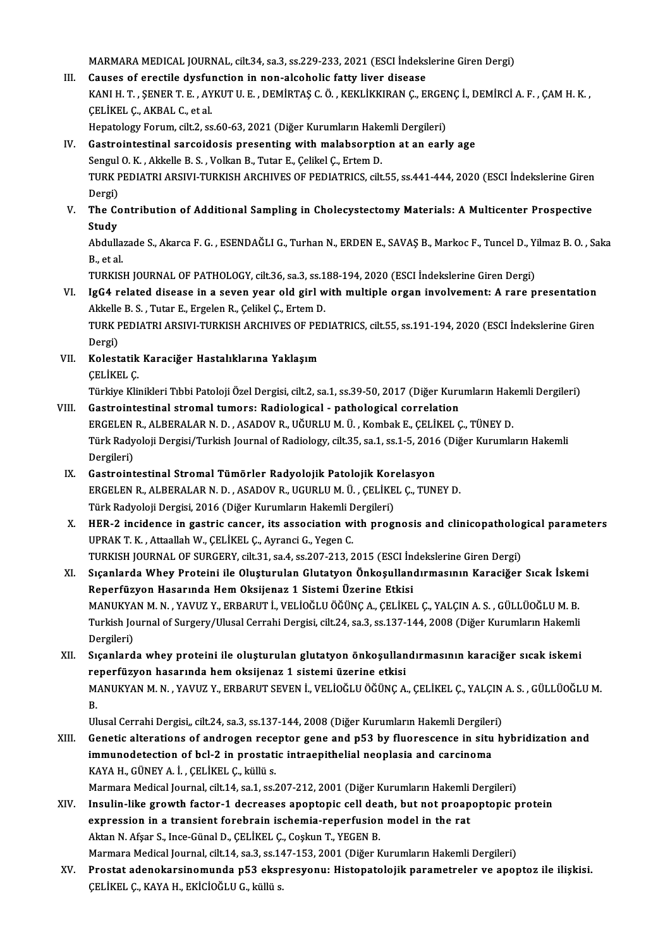MARMARAMEDICAL JOURNAL, cilt.34, sa.3, ss.229-233,2021 (ESCI İndekslerineGirenDergi)

III. Causes of erectile dysfunction in non-alcoholic fatty liver disease MARMARA MEDICAL JOURNAL, cilt.34, sa.3, ss.229-233, 2021 (ESCI İndekslerine Giren Dergi)<br>Causes of erectile dysfunction in non-alcoholic fatty liver disease<br>KANI H. T. , ŞENER T. E. , AYKUT U. E. , DEMİRTAŞ C. Ö. , KEKLİKK Causes of erectile dysful<br>KANI H. T. , ŞENER T. E. , AY<br>ÇELİKEL Ç., AKBAL C., et al.<br>Hanatalagu Farum, silt 2, 22 KANI H. T. , ŞENER T. E. , AYKUT U. E. , DEMİRTAŞ C. Ö. , KEKLİKKIRAN Ç., ERGEI<br>ÇELİKEL Ç., AKBAL C., et al.<br>Hepatology Forum, cilt.2, ss.60-63, 2021 (Diğer Kurumların Hakemli Dergileri)<br>Castrointestinal sarsoidesis presen CELIKEL C., AKBAL C., et al.<br>Hepatology Forum, cilt.2, ss.60-63, 2021 (Diğer Kurumların Hakemli Dergileri)<br>IV. Gastrointestinal sarcoidosis presenting with malabsorption at an early age

- Hepatology Forum, cilt.2, ss.60-63, 2021 (Diğer Kurumların Hake<br>Gastrointestinal sarcoidosis presenting with malabsorptic<br>Sengul O.K., Akkelle B.S., Volkan B., Tutar E., Çelikel Ç., Ertem D.<br>TURK REDIATRI ARSIVI TURKISH AR TURK PEDIATRI ARSIVI-TURKISH ARCHIVES OF PEDIATRICS, cilt.55, ss.441-444, 2020 (ESCI İndekslerine Giren<br>Dergi) Sengul<br>TURK F<br>Dergi)<br>The *Ce* TURK PEDIATRI ARSIVI-TURKISH ARCHIVES OF PEDIATRICS, cilt.55, ss.441-444, 2020 (ESCI Indekslerine Giren<br>Dergi)<br>V. The Contribution of Additional Sampling in Cholecystectomy Materials: A Multicenter Prospective<br>Study
- Dergi)<br><mark>The Co</mark><br>Study The Contribution of Additional Sampling in Cholecystectomy Materials: A Multicenter Prospective<br>Study<br>Abdullazade S., Akarca F. G. , ESENDAĞLI G., Turhan N., ERDEN E., SAVAŞ B., Markoc F., Tuncel D., Yilmaz B. O. , Saka<br>B.

Study<br>Abdullazade S., Akarca F. G. , ESENDAĞLI G., Turhan N., ERDEN E., SAVAŞ B., Markoc F., Tuncel D., Yilmaz B. O. , Saka<br>B., et al. Abdullazade S., Akarca F. G. , ESENDAĞLI G., Turhan N., ERDEN E., SAVAŞ B., Markoc F., Tuncel D., Yi<br>B., et al.<br>TURKISH JOURNAL OF PATHOLOGY, cilt.36, sa.3, ss.188-194, 2020 (ESCI İndekslerine Giren Dergi)<br>IgC4 related dis

B., et al.<br>TURKISH JOURNAL OF PATHOLOGY, cilt.36, sa.3, ss.188-194, 2020 (ESCI İndekslerine Giren Dergi)<br>VI. IgG4 related disease in a seven year old girl with multiple organ involvement: A rare presentation<br>Alticle B.S., TURKISH JOURNAL OF PATHOLOGY, cilt.36, sa.3, ss.1<br>IgG4 related disease in a seven year old girl w<br>Akkelle B. S. , Tutar E., Ergelen R., Çelikel Ç., Ertem D.<br>TURK REDIATRI ARSIVI TURKISH ARGHIVES OF RED IgG4 related disease in a seven year old girl with multiple organ involvement: A rare presentation<br>Akkelle B. S. , Tutar E., Ergelen R., Çelikel Ç., Ertem D.<br>TURK PEDIATRI ARSIVI-TURKISH ARCHIVES OF PEDIATRICS, cilt.55, ss Akkelle B. S. , Tutar E., Ergelen R., Çelikel Ç., Ertem D.<br>TURK PEDIATRI ARSIVI-TURKISH ARCHIVES OF PEDIATRICS, cilt.55, ss.191-194, 2020 (ESCI İndekslerine Giren<br>Dergi)

TURK PEDIATRI ARSIVI-TURKISH ARCHIVES OF PEI<br>Dergi)<br>VII. Kolestatik Karaciğer Hastalıklarına Yaklaşım Dergi)<br>Kolestatik<br>ÇELİKEL Ç.<br>Türkiye Kli Kolestatik Karaciğer Hastalıklarına Yaklaşım<br>ÇELİKEL Ç.<br>Türkiye Klinikleri Tıbbi Patoloji Özel Dergisi, cilt.2, sa.1, ss.39-50, 2017 (Diğer Kurumların Hakemli Dergileri)<br>Castrointestinal stromal tumorsu Badiologisal - nath

- CELİKEL Ç.<br>Türkiye Klinikleri Tıbbi Patoloji Özel Dergisi, cilt.2, sa.1, ss.39-50, 2017 (Diğer Kuru<br>VIII. Gastrointestinal stromal tumors: Radiological pathological correlation<br>RECELEN B. ALBERALAR N.D. ASADOV B. HÖH Türkiye Klinikleri Tıbbi Patoloji Özel Dergisi, cilt.2, sa.1, ss.39-50, 2017 (Diğer Kurumların Hak<br>Gastrointestinal stromal tumors: Radiological - pathological correlation<br>ERGELEN R., ALBERALAR N. D. , ASADOV R., UĞURLU M. Gastrointestinal stromal tumors: Radiological - pathological correlation<br>ERGELEN R., ALBERALAR N. D. , ASADOV R., UĞURLU M. Ü. , Kombak E., ÇELİKEL Ç., TÜNEY D.<br>Türk Radyoloji Dergisi/Turkish Journal of Radiology, cilt.35, ERGELEN<br>Türk Rady<br>Dergileri)<br>Castroint Türk Radyoloji Dergisi/Turkish Journal of Radiology, cilt.35, sa.1, ss.1-5, 2016<br>Dergileri)<br>IX. Gastrointestinal Stromal Tümörler Radyolojik Patolojik Korelasyon<br>ERCELEN R. ALBERALAR N.D. ASADOV R. UCURLIM Ü. CELİKEL C. TU
- Dergileri)<br>Gastrointestinal Stromal Tümörler Radyolojik Patolojik Korelasyon<br>ERGELEN R., ALBERALAR N. D. , ASADOV R., UGURLU M. Ü. , ÇELİKEL Ç., TUNEY D.<br>Türk Radyoloji Dergisi, 2016 (Diğer Kurumların Hakemli Dergileri) IX. Gastrointestinal Stromal Tümörler Radyolojik Patolojik Korelasyon
- ERGELEN R., ALBERALAR N. D. , ASADOV R., UGURLU M. Ü. , ÇELİKEL Ç., TUNEY D.<br>Türk Radyoloji Dergisi, 2016 (Diğer Kurumların Hakemli Dergileri)<br>X. HER-2 incidence in gastric cancer, its association with prognosis and clinic Türk Radyoloji Dergisi, 2016 (Diğer Kurumların Hakemli D<br>HER-2 incidence in gastric cancer, its association w:<br>UPRAK T. K. , Attaallah W., ÇELİKEL Ç., Ayranci G., Yegen C.<br>TURKISH JOURNAL OF SURCERV. silt 21, 82,4, 83,207, HER-2 incidence in gastric cancer, its association with prognosis and clinicopatholog<br>UPRAK T. K., Attaallah W., ÇELİKEL Ç., Ayranci G., Yegen C.<br>TURKISH JOURNAL OF SURGERY, cilt.31, sa.4, ss.207-213, 2015 (ESCI İndeksleri UPRAK T. K. , Attaallah W., ÇELİKEL Ç., Ayranci G., Yegen C.<br>TURKISH JOURNAL OF SURGERY, cilt.31, sa.4, ss.207-213, 2015 (ESCI İndekslerine Giren Dergi)<br>XI. Sıçanlarda Whey Proteini ile Oluşturulan Glutatyon Önkoşullandırm
- TURKISH JOURNAL OF SURGERY, cilt.31, sa.4, ss.207-213, 2015 (ESCI İnd<br>Sıçanlarda Whey Proteini ile Oluşturulan Glutatyon Önkoşulland<br>Reperfüzyon Hasarında Hem Oksijenaz 1 Sistemi Üzerine Etkisi<br>MANUKYAN M.N. YAVUZ V. ERRAR Sıçanlarda Whey Proteini ile Oluşturulan Glutatyon Önkoşullandırmasının Karaciğer Sıcak İsken<br>Reperfüzyon Hasarında Hem Oksijenaz 1 Sistemi Üzerine Etkisi<br>MANUKYAN M. N. , YAVUZ Y., ERBARUT İ., VELİOĞLU ÖĞÜNÇ A., ÇELİKEL Ç Reperfüzyon Hasarında Hem Oksijenaz 1 Sistemi Üzerine Etkisi<br>MANUKYAN M. N. , YAVUZ Y., ERBARUT İ., VELİOĞLU ÖĞÜNÇ A., ÇELİKEL Ç., YALÇIN A. S. , GÜLLÜOĞLU M. B.<br>Turkish Journal of Surgery/Ulusal Cerrahi Dergisi, cilt.24, MANUKYA<br>Turkish Jo<br>Dergileri)<br>Saanland Turkish Journal of Surgery/Ulusal Cerrahi Dergisi, cilt.24, sa.3, ss.137-144, 2008 (Diğer Kurumların Hakemli<br>Dergileri)<br>XII. 81 Sıçanlarda whey proteini ile oluşturulan glutatyon önkoşullandırmasının karaciğer sıcak iskemi
- Dergileri)<br>XII. Sıçanlarda whey proteini ile oluşturulan glutatyon önkoşullandırmasının karaciğer sıcak iskemi<br>reperfüzyon hasarında hem oksijenaz 1 sistemi üzerine etkisi Sıçanlarda whey proteini ile oluşturulan glutatyon önkoşullandırmasının karaciğer sıcak iskemi<br>reperfüzyon hasarında hem oksijenaz 1 sistemi üzerine etkisi<br>MANUKYAN M. N. , YAVUZ Y., ERBARUT SEVEN İ., VELİOĞLU ÖĞÜNÇ A., ÇE re<br>M.<br><sup>III.</sup> MANUKYAN M. N. , YAVUZ Y., ERBARUT SEVEN İ., VELİOĞLU ÖĞÜNÇ A., ÇELİKEL Ç., YALÇIN<br>B.<br>Ulusal Cerrahi Dergisi,, cilt.24, sa.3, ss.137-144, 2008 (Diğer Kurumların Hakemli Dergileri)<br>Cenetis alterations of androssen resenter

- B.<br>Ulusal Cerrahi Dergisi,, cilt.24, sa.3, ss.137-144, 2008 (Diğer Kurumların Hakemli Dergileri)<br>XIII. Genetic alterations of androgen receptor gene and p53 by fluorescence in situ hybridization and<br>immunedatestion of Ulusal Cerrahi Dergisi,, cilt.24, sa.3, ss.137-144, 2008 (Diğer Kurumların Hakemli Dergiler<br>Genetic alterations of androgen receptor gene and p53 by fluorescence in situ<br>immunodetection of bcl-2 in prostatic intraepithelia Genetic alterations of androgen rece<br>immunodetection of bcl-2 in prostati<br>KAYA H., GÜNEY A. İ. , ÇELİKEL Ç., küllü s.<br>Marmara Medical Jaurnal, cilt 14, sa 1, sa î. immunodetection of bcl-2 in prostatic intraepithelial neoplasia and carcinoma<br>KAYA H., GÜNEY A. İ. , ÇELİKEL Ç., küllü s.<br>Marmara Medical Journal, cilt.14, sa.1, ss.207-212, 2001 (Diğer Kurumların Hakemli Dergileri)<br>Inauli
- KAYA H., GÜNEY A. İ. , ÇELİKEL Ç., küllü s.<br>Marmara Medical Journal, cilt.14, sa.1, ss.207-212, 2001 (Diğer Kurumların Hakemli Dergileri)<br>XIV. Insulin-like growth factor-1 decreases apoptopic cell death, but not proapoptop Marmara Medical Journal, cilt.14, sa.1, ss.207-212, 2001 (Diğer Kurumların Hakemli<br>Insulin-like growth factor-1 decreases apoptopic cell death, but not proap<br>expression in a transient forebrain ischemia-reperfusion model i Aktan N. Afşar S., Ince-Günal D., ÇELİKEL Ç., Coşkun T., YEGEN B. Marmara Medical Journal, cilt.14, sa.3, ss.147-153, 2001 (Diğer Kurumların Hakemli Dergileri)

Aktan N. Afşar S., Ince-Günal D., ÇELİKEL Ç., Coşkun T., YEGEN B.<br>Marmara Medical Journal, cilt.14, sa.3, ss.147-153, 2001 (Diğer Kurumların Hakemli Dergileri)<br>XV. Prostat adenokarsinomunda p53 ekspresyonu: Histopatolo Marmara Medical Journal, cilt.14, sa.3, ss.14<br><mark>Prostat adenokarsinomunda p53 eksp</mark><br>ÇELİKEL Ç., KAYA H., EKİCİOĞLU G., küllü s.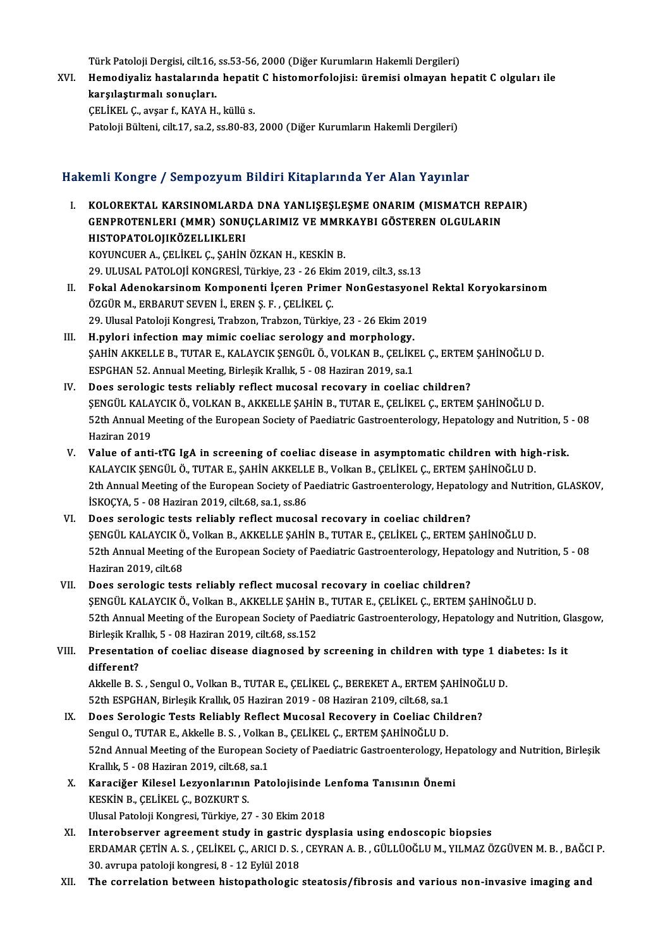Türk Patoloji Dergisi, cilt.16, ss.53-56, 2000 (Diğer Kurumların Hakemli Dergileri)<br>Hamadiyaliz bastalarında banatit G bistamarfalajisi: üramisi almayan ba

XVI. Hemodiyaliz hastalarında hepatit C histomorfolojisi: üremisi olmayan hepatit C olguları ile Türk Patoloji Dergisi, cilt.16,<br>Hemodiyaliz hastalarında<br>karşılaştırmalı sonuçları.<br>CELİKEL C. 211201 f. KANA H

ÇELİKEL Ç., avşar f., KAYA H., küllü s.

Patoloji Bülteni, cilt.17, sa.2, ss.80-83, 2000 (Diğer Kurumların Hakemli Dergileri)

### HakemliKongre / SempozyumBildiriKitaplarında Yer Alan Yayınlar

- akemli Kongre / Sempozyum Bildiri Kitaplarında Yer Alan Yayınlar<br>I. KOLOREKTAL KARSINOMLARDA DNA YANLIŞEŞLEŞME ONARIM (MISMATCH REPAIR)<br>CENPROTENLERI (MMR) SONUCLARIMIZ VE MMRKAYRI CÖSTEREN OLCULARIN SAHI IRSEG / SOMPOZJ'UM DINITI IRKIPNITANI TOTTIMI TUJIMU.<br>KOLOREKTAL KARSINOMLARDA DNA YANLIŞEŞLEŞME ONARIM (MISMATCH REP.<br>GENPROTENLERI (MMR) SONUÇLARIMIZ VE MMRKAYBI GÖSTEREN OLGULARIN GENPROTENLERI (MMR) SONUÇLARIMIZ VE MMRKAYBI GÖSTEREN OLGULARIN<br>HISTOPATOLOJIKÖZELLIKLERI KOYUNCUER A., ÇELİKEL Ç., ŞAHİN ÖZKAN H., KESKİN B. 29.ULUSAL PATOLOJİKONGRESİ,Türkiye,23 -26Ekim2019, cilt.3, ss.13
- KOYUNCUER A., ÇELİKEL Ç., ŞAHİN ÖZKAN H., KESKİN B.<br>29. ULUSAL PATOLOJİ KONGRESİ, Türkiye, 23 26 Ekim 2019, cilt.3, ss.13<br>II. Fokal Adenokarsinom Komponenti İçeren Primer NonGestasyonel Rektal Koryokarsinom<br>ÖZCÜP M. E ÖZGÜR M., ERBARUT SEVEN İ., EREN Ş. F. , ÇELİKEL Ç.<br>29. Ulusal Patoloji Kongresi, Trabzon, Trabzon, Türkiye, 23 - 26 Ekim 2019 Fokal Adenokarsinom Komponenti İçeren Primer NonGestasyonel<br>ÖZGÜR M., ERBARUT SEVEN İ., EREN Ş. F. , ÇELİKEL Ç.<br>29. Ulusal Patoloji Kongresi, Trabzon, Trabzon, Türkiye, 23 - 26 Ekim 2019<br>H nyloni infestion mey mimis seolin ÖZGÜR M., ERBARUT SEVEN İ., EREN Ş. F. , ÇELİKEL Ç.<br>29. Ulusal Patoloji Kongresi, Trabzon, Trabzon, Türkiye, 23 - 26 Ekim 20<br>III. H.pylori infection may mimic coeliac serology and morphology.<br>5 AHIN AVVELLE B. TUTAR E. VAL
- ŞAHİN AKKELLE B., TUTAR E., KALAYCIK ŞENGÜL Ö., VOLKAN B., ÇELİKEL Ç., ERTEM ŞAHİNOĞLU D.<br>ESPGHAN 52. Annual Meeting, Birleşik Krallık, 5 08 Haziran 2019, sa.1 H.pylori infection may mimic coeliac serology and morphology.<br>ŞAHİN AKKELLE B., TUTAR E., KALAYCIK ŞENGÜL Ö., VOLKAN B., ÇELİKI<br>ESPGHAN 52. Annual Meeting, Birleşik Krallık, 5 - 08 Haziran 2019, sa.1<br>Dees serologis tests r
- IV. Does serologic tests reliably reflect mucosal recovary in coeliac children? ŞENGÜLKALAYCIKÖ.,VOLKANB.,AKKELLEŞAHİNB.,TUTARE.,ÇELİKEL Ç.,ERTEMŞAHİNOĞLUD. Does serologic tests reliably reflect mucosal recovary in coeliac children?<br>ŞENGÜL KALAYCIK Ö., VOLKAN B., AKKELLE ŞAHİN B., TUTAR E., ÇELİKEL Ç., ERTEM ŞAHİNOĞLU D.<br>52th Annual Meeting of the European Society of Paediatri ŞENGÜL KALA<br>52th Annual M<br>Haziran 2019<br>Value of anti V. Value of anti-tTG IgA in screening of coeliac disease in asymptomatic children with high-risk.
- KALAYCIKŞENGÜLÖ.,TUTARE.,ŞAHİNAKKELLEB.,VolkanB.,ÇELİKEL Ç.,ERTEMŞAHİNOĞLUD. Value of anti-tTG IgA in screening of coeliac disease in asymptomatic children with high-risk.<br>KALAYCIK ŞENGÜL Ö., TUTAR E., ŞAHİN AKKELLE B., Volkan B., ÇELİKEL Ç., ERTEM ŞAHİNOĞLU D.<br>2th Annual Meeting of the European So KALAYCIK ŞENGÜL Ö., TUTAR E., ŞAHİN AKKELL<br>2th Annual Meeting of the European Society of P<br>İSKOÇYA, 5 - 08 Haziran 2019, cilt.68, sa.1, ss.86<br>Dess saralagia tasta raliably raflast musası 2th Annual Meeting of the European Society of Paediatric Gastroenterology, Hepatol<br>ISKOÇYA, 5 - 08 Haziran 2019, cilt.68, sa.1, ss.86<br>VI. Does serologic tests reliably reflect mucosal recovary in coeliac children?<br>SENCÜL K
- İSKOÇYA, 5 08 Haziran 2019, cilt.68, sa.1, ss.86<br>Does serologic tests reliably reflect mucosal recovary in coeliac children?<br>ŞENGÜL KALAYCIK Ö., Volkan B., AKKELLE ŞAHİN B., TUTAR E., ÇELİKEL Ç., ERTEM ŞAHİNOĞLU D.<br>E<sup>2+h</sup> Does serologic tests reliably reflect mucosal recovary in coeliac children?<br>ŞENGÜL KALAYCIK Ö., Volkan B., AKKELLE ŞAHİN B., TUTAR E., ÇELİKEL Ç., ERTEM ŞAHİNOĞLU D.<br>52th Annual Meeting of the European Society of Paediatri ŞENGÜL KALAYCIK Ö<br>52th Annual Meeting<br>Haziran 2019, cilt.68<br>Dass sexelegia test
- VII. Does serologic tests reliably reflect mucosal recovary in coeliac children? ŞENGÜL KALAYCIK Ö., Volkan B., AKKELLE ŞAHİN B., TUTAR E., ÇELİKEL Ç., ERTEM ŞAHİNOĞLU D. Does serologic tests reliably reflect mucosal recovary in coeliac children?<br>ŞENGÜL KALAYCIK Ö., Volkan B., AKKELLE ŞAHİN B., TUTAR E., ÇELİKEL Ç., ERTEM ŞAHİNOĞLU D.<br>52th Annual Meeting of the European Society of Paediatri ŞENGÜL KALAYCIK Ö., Volkan B., AKKELLE ŞAHİN<br>52th Annual Meeting of the European Society of Pa<br>Birleşik Krallık, 5 - 08 Haziran 2019, cilt.68, ss.152<br>Presentation of soolias disease diagnosed bu 52th Annual Meeting of the European Society of Paediatric Gastroenterology, Hepatology and Nutrition, G<br>Birleşik Krallık, 5 - 08 Haziran 2019, cilt.68, ss.152<br>VIII. Presentation of coeliac disease diagnosed by screening in

# Birleşik Krallık, 5 - 08 Haziran 2019, cilt.68, ss.152<br>VIII. Presentation of coeliac disease diagnosed by screening in children with type 1 diabetes: Is it<br>different? Presentation of coeliac disease diagnosed by screening in children with type 1 dientiferent?<br>Akkelle B.S., Sengul O., Volkan B., TUTAR E., ÇELİKEL Ç., BEREKET A., ERTEM ŞAHİNOĞLU D.<br>52th ESBCHAN, Birlosik Krallık OS Hazira

different?<br>Akkelle B. S. , Sengul O., Volkan B., TUTAR E., ÇELİKEL Ç., BEREKET A., ERTEM ŞA<br>52th ESPGHAN, Birleşik Krallık, 05 Haziran 2019 - 08 Haziran 2109, cilt.68, sa.1<br>Dess Saralagia Tests Baliablu Baflest Musesal Bes Akkelle B. S., Sengul O., Volkan B., TUTAR E., ÇELİKEL Ç., BEREKET A., ERTEM ŞAHİNOĞI<br>52th ESPGHAN, Birleşik Krallık, 05 Haziran 2019 - 08 Haziran 2109, cilt.68, sa.1<br>IX. Does Serologic Tests Reliably Reflect Mucosal Recov

- 52th ESPGHAN, Birleşik Krallık, 05 Haziran 2019 08 Haziran 2109, cilt.68, sa.1<br>IX. Does Serologic Tests Reliably Reflect Mucosal Recovery in Coeliac Children?<br>Sengul O., TUTAR E., Akkelle B. S. , Volkan B., ÇELİKEL Ç., E Does Serologic Tests Reliably Reflect Mucosal Recovery in Coeliac Children?<br>Sengul O., TUTAR E., Akkelle B. S. , Volkan B., ÇELİKEL Ç., ERTEM ŞAHİNOĞLU D.<br>52nd Annual Meeting of the European Society of Paediatric Gastroent Sengul O., TUTAR E., Akkelle B. S. , Volkar<br>52nd Annual Meeting of the European S<br>Krallık, 5 - 08 Haziran 2019, cilt.68, sa.1<br>Kanasišar Kilasal I azvenlarının Pat 52nd Annual Meeting of the European Society of Paediatric Gastroenterology, He<br>Krallık, 5 - 08 Haziran 2019, cilt.68, sa.1<br>X. Karaciğer Kilesel Lezyonlarının Patolojisinde Lenfoma Tanısının Önemi<br>KESKİN B. CELİKEL G. BOZKU
- Krallık, 5 08 Haziran 2019, cilt.68,<br>Karaciğer Kilesel Lezyonlarının<br>KESKİN B., ÇELİKEL Ç., BOZKURT S.<br>Ulusel Peteleji Kongresi, Türkiye, 22 Karaciğer Kilesel Lezyonlarının Patolojisinde I<br>KESKİN B., ÇELİKEL Ç., BOZKURT S.<br>Ulusal Patoloji Kongresi, Türkiye, 27 - 30 Ekim 2018<br>Interebserver esteement study in sestris dyen KESKIN B., ÇELIKEL Ç., BOZKURT S.<br>Ulusal Patoloji Kongresi, Türkiye, 27 - 30 Ekim 2018<br>XI. Interobserver agreement study in gastric dysplasia using endoscopic biopsies
- Ulusal Patoloji Kongresi, Türkiye, 27 30 Ekim 2018<br>Interobserver agreement study in gastric dysplasia using endoscopic biopsies<br>ERDAMAR ÇETİN A.S. , ÇELİKEL Ç., ARICI D. S. , CEYRAN A. B. , GÜLLÜOĞLU M., YILMAZ ÖZGÜVEN M Interobserver agreement study in gastric<br>ERDAMAR ÇETİN A. S. , ÇELİKEL Ç., ARICI D. S. ,<br>30. avrupa patoloji kongresi, 8 - 12 Eylül 2018<br>The correlation between bistanatbolagia ERDAMAR ÇETİN A. S. , ÇELİKEL Ç., ARICI D. S. , CEYRAN A. B. , GÜLLÜOĞLU M., YILMAZ ÖZGÜVEN M. B. , BAĞC.<br>30. avrupa patoloji kongresi, 8 - 12 Eylül 2018<br>XII. The correlation between histopathologic steatosis/fibrosis
-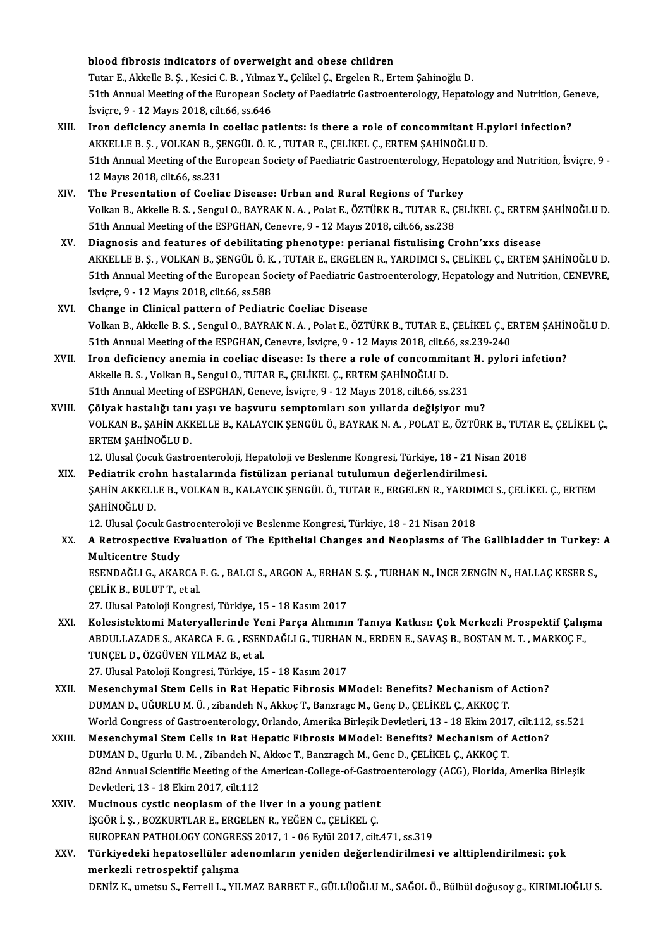#### blood fibrosis indicators of overweight and obese children

blood fibrosis indicators of overweight and obese children<br>Tutar E., Akkelle B. Ş. , Kesici C. B. , Yılmaz Y., Çelikel Ç., Ergelen R., Ertem Şahinoğlu D.<br>E1th Annual Mesting of the Euronean Seciety of Beedistris Cestreente 51th Annual Meeting of the European Society of Paediatric Gastroenterology, Hepatology and Nutrition, Geneve,<br>İsviçre, 9 - 12 Mayıs 2018, cilt.66, ss.646 Tutar E., Akkelle B. Ş. , Kesici C. B. , Yılmaz<br>51th Annual Meeting of the European So<br>İsviçre, 9 - 12 Mayıs 2018, cilt.66, ss.646<br>Inon defisionsy anemia in seeling na

- XIII. Iron deficiency anemia in coeliac patients: is there a role of concommitant H.pylori infection? İsviçre, 9 - 12 Mayıs 2018, cilt.66, ss.646<br>Iron deficiency anemia in coeliac patients: is there a role of concommitant H.<sub>I</sub><br>AKKELLE B. Ş. , VOLKAN B., ŞENGÜL Ö. K. , TUTAR E., ÇELİKEL Ç., ERTEM ŞAHİNOĞLU D.<br>51th Annual M 51th Annual Meeting of the European Society of Paediatric Gastroenterology, Hepatology and Nutrition, İsviçre, 9 -<br>12 Mayıs 2018, cilt.66, ss.231 AKKELLE B. Ş. , VOLKAN B., ŞI<br>51th Annual Meeting of the El<br>12 Mayıs 2018, cilt.66, ss.231<br>The Presentation of Coolia
- XIV. The Presentation of Coeliac Disease: Urban and Rural Regions of Turkey 12 Mayıs 2018, cilt.66, ss.231<br>The Presentation of Coeliac Disease: Urban and Rural Regions of Turkey<br>Volkan B., Akkelle B. S. , Sengul O., BAYRAK N. A. , Polat E., ÖZTÜRK B., TUTAR E., ÇELİKEL Ç., ERTEM ŞAHİNOĞLU D.<br>51th The Presentation of Coeliac Disease: Urban and Rural Regions of Turke<br>Volkan B., Akkelle B. S. , Sengul O., BAYRAK N. A. , Polat E., ÖZTÜRK B., TUTAR E., Ç<br>51th Annual Meeting of the ESPGHAN, Cenevre, 9 - 12 Mayıs 2018, ci Volkan B., Akkelle B. S., Sengul O., BAYRAK N. A., Polat E., ÖZTÜRK B., TUTAR E., ÇELİKEL Ç., ERTEM :<br>51th Annual Meeting of the ESPGHAN, Cenevre, 9 - 12 Mayıs 2018, cilt.66, ss.238<br>XV. Diagnosis and features of debilitati
- 51th Annual Meeting of the ESPGHAN, Cenevre, 9 12 Mayıs 2018, cilt.66, ss.238<br>Diagnosis and features of debilitating phenotype: perianal fistulising Crohn'xxs disease<br>AKKELLE B. Ş. , VOLKAN B., ŞENGÜL Ö. K. , TUTAR E., E Diagnosis and features of debilitating phenotype: perianal fistulising Crohn'xxs disease<br>AKKELLE B. S. , VOLKAN B., ŞENGÜL Ö. K. , TUTAR E., ERGELEN R., YARDIMCI S., ÇELİKEL Ç., ERTEM ŞAHİNOĞLU D.<br>51th Annual Meeting of th AKKELLE B. Ş. , VOLKAN B., ŞENGÜL Ö. K<br>51th Annual Meeting of the European So<br>İsviçre, 9 - 12 Mayıs 2018, cilt.66, ss.588<br>Change in Clinisel nattarn of Bodiatr 51th Annual Meeting of the European Society of Paediatric Ga<br>
isvicte, 9 - 12 Mayıs 2018, cilt.66, ss.588<br>
XVI. Change in Clinical pattern of Pediatric Coeliac Disease<br>
Volkan B. Akkalle B.S., Sangul O. BAVBAK N.A., Belst
- İsviçre, 9 12 Mayıs 2018, cilt.66, ss.588<br>Change in Clinical pattern of Pediatric Coeliac Disease<br>Volkan B., Akkelle B. S. , Sengul O., BAYRAK N. A. , Polat E., ÖZTÜRK B., TUTAR E., ÇELİKEL Ç., ERTEM ŞAHİNOĞLU D.<br>E1th An Change in Clinical pattern of Pediatric Coeliac Disease<br>Volkan B., Akkelle B. S. , Sengul O., BAYRAK N. A. , Polat E., ÖZTÜRK B., TUTAR E., ÇELİKEL Ç., E.<br>51th Annual Meeting of the ESPGHAN, Cenevre, İsviçre, 9 - 12 Mayıs 51th Annual Meeting of the ESPGHAN, Cenevre, İsviçre, 9 - 12 Mayıs 2018, cilt.66, ss.239-240<br>XVII. Iron deficiency anemia in coeliac disease: Is there a role of concommitant H. pylori infetion?
- 51th Annual Meeting of the ESPGHAN, Cenevre, İsviçre, 9 12 Mayıs 2018, cilt.6<br>Iron deficiency anemia in coeliac disease: Is there a role of concommi<br>Akkelle B. S. , Volkan B., Sengul O., TUTAR E., ÇELİKEL Ç., ERTEM ŞAHİN Iron deficiency anemia in coeliac disease: Is there a role of concommitant<br>Akkelle B. S. , Volkan B., Sengul O., TUTAR E., ÇELİKEL Ç., ERTEM ŞAHİNOĞLU D.<br>51th Annual Meeting of ESPGHAN, Geneve, İsviçre, 9 - 12 Mayıs 2018,
- 51th Annual Meeting of ESPGHAN, Geneve, İsviçre, 9 12 Mayıs 2018, cilt.66, ss.231<br>XVIII. Cölyak hastalığı tanı yaşı ve başvuru semptomları son yıllarda değişiyor mu? 51th Annual Meeting of ESPGHAN, Geneve, İsviçre, 9 - 12 Mayıs 2018, cilt.66, ss.231<br>Çölyak hastalığı tanı yaşı ve başvuru semptomları son yıllarda değişiyor mu?<br>VOLKAN B., ŞAHİN AKKELLE B., KALAYCIK ŞENGÜL Ö., BAYRAK N. A. Çölyak hastalığı tanı<br>VOLKAN B., ŞAHİN AKH<br>ERTEM ŞAHİNOĞLU D.<br>12 Hlucal Cosuk Costra VOLKAN B., ŞAHİN AKKELLE B., KALAYCIK ŞENGÜL Ö., BAYRAK N. A. , POLAT E., ÖZTÜRK B., TUT.<br>ERTEM ŞAHİNOĞLU D.<br>12. Ulusal Çocuk Gastroenteroloji, Hepatoloji ve Beslenme Kongresi, Türkiye, 18 - 21 Nisan 2018<br>Bediatrik spehn h

ERTEM ŞAHİNOĞLU D.<br>12. Ulusal Çocuk Gastroenteroloji, Hepatoloji ve Beslenme Kongresi, Türkiye, 18 - 21 Nis<br>XIX. Pediatrik crohn hastalarında fistülizan perianal tutulumun değerlendirilmesi.<br>SAHİN AKKELLE B. VOLKAN B. 12. Ulusal Çocuk Gastroenteroloji, Hepatoloji ve Beslenme Kongresi, Türkiye, 18 - 21 Nisan 2018<br>Pediatrik crohn hastalarında fistülizan perianal tutulumun değerlendirilmesi.<br>ŞAHİN AKKELLE B., VOLKAN B., KALAYCIK ŞENGÜL Ö., Pediatrik crol<br>ŞAHİN AKKELL<br>ŞAHİNOĞLU D.<br>12 Hhrel Cecu SAHİN AKKELLE B., VOLKAN B., KALAYCIK ŞENGÜL Ö., TUTAR E., ERGELEN R., YARDII<br>ŞAHİNOĞLU D.<br>12. Ulusal Çocuk Gastroenteroloji ve Beslenme Kongresi, Türkiye, 18 - 21 Nisan 2018<br>A Betroenestiye Evelyation of The Enithelial Ch

### XX. A Retrospective Evaluation of The Epithelial Changes and Neoplasms of The Gallbladder in Turkey: A<br>Multicentre Study 12. Ulusal Çocuk Gas<br>A Retrospective Ev<br>Multicentre Study<br>ESENDAČLLC AKAE A Retrospective Evaluation of The Epithelial Changes and Neoplasms of The Gallbladder in Turkey:<br>Multicentre Study<br>ESENDAĞLI G., AKARCA F. G. , BALCI S., ARGON A., ERHAN S. Ş. , TURHAN N., İNCE ZENGİN N., HALLAÇ KESER S.,<br>

Multicentre Study<br>ESENDAĞLI G., AKARCA<br>ÇELİK B., BULUT T., et al.<br>27. Ulucal Patalaji Kangr ESENDAĞLI G., AKARCA F. G. , BALCI S., ARGON A., ERHAN<br>ÇELİK B., BULUT T., et al.<br>27. Ulusal Patoloji Kongresi, Türkiye, 15 - 18 Kasım 2017<br>Kologistaltami Matanyallarında Yani Barsa Alımını

ÇELİK B., BULUT T., et al.<br>27. Ulusal Patoloji Kongresi, Türkiye, 15 - 18 Kasım 2017<br>XXI. Kolesistektomi Materyallerinde Yeni Parça Alımının Tanıya Katkısı: Çok Merkezli Prospektif Çalışma<br>APDULLAZADE S. AKARCA E.G., E 27. Ulusal Patoloji Kongresi, Türkiye, 15 - 18 Kasım 2017<br>Kolesistektomi Materyallerinde Yeni Parça Alımının Tanıya Katkısı: Çok Merkezli Prospektif Çalış<br>ABDULLAZADE S., AKARCA F. G. , ESENDAĞLI G., TURHAN N., ERDEN E., S Kolesistektomi Materyallerinde Ye<br>ABDULLAZADE S., AKARCA F. G. , ESEN<br>TUNÇEL D., ÖZGÜVEN YILMAZ B., et al.<br>27. Ulucal Pataleji Kongresi Türkiye 11 ABDULLAZADE S., AKARCA F. G. , ESENDAĞLI G., TURHAN N., ERDEN E., SAVAŞ B., BOSTAN M. T. , MARKOÇ F.,<br>TUNÇEL D., ÖZGÜVEN YILMAZ B., et al.<br>27. Ulusal Patoloji Kongresi, Türkiye, 15 - 18 Kasım 2017 TUNÇEL D., ÖZGÜVEN YILMAZ B., et al.<br>27. Ulusal Patoloji Kongresi, Türkiye, 15 - 18 Kasım 2017<br>XXII. Mesenchymal Stem Cells in Rat Hepatic Fibrosis MModel: Benefits? Mechanism of Action?<br>DIMAN D. UĞURLUM Ü. Fibandab N. Akk

- 27. Ulusal Patoloji Kongresi, Türkiye, 15 18 Kasım 2017<br>Mesenchymal Stem Cells in Rat Hepatic Fibrosis MModel: Benefits? Mechanism of<br>DUMAN D., UĞURLU M. Ü. , zibandeh N., Akkoç T., Banzragc M., Genç D., ÇELİKEL Ç., AKKO Mesenchymal Stem Cells in Rat Hepatic Fibrosis MModel: Benefits? Mechanism of Action?<br>DUMAN D., UĞURLU M. Ü. , zibandeh N., Akkoç T., Banzragc M., Genç D., ÇELİKEL Ç., AKKOÇ T.<br>World Congress of Gastroenterology, Orlando, DUMAN D., UĞURLU M. Ü. , zibandeh N., Akkoç T., Banzragc M., Genç D., ÇELİKEL Ç., AKKOÇ T.<br>World Congress of Gastroenterology, Orlando, Amerika Birleşik Devletleri, 13 - 18 Ekim 2017, cilt.112<br>XXIII. Mesenchymal Stem Cells
- World Congress of Gastroenterology, Orlando, Amerika Birleşik Devletleri, 13 18 Ekim 2017<br>Mesenchymal Stem Cells in Rat Hepatic Fibrosis MModel: Benefits? Mechanism of<br>DUMAN D., Ugurlu U. M., Zibandeh N., Akkoc T., Banzr Mesenchymal Stem Cells in Rat Hepatic Fibrosis MModel: Benefits? Mechanism of Action?<br>DUMAN D., Ugurlu U. M., Zibandeh N., Akkoc T., Banzragch M., Genc D., ÇELİKEL Ç., AKKOÇ T.<br>82nd Annual Scientific Meeting of the America DUMAN D., Ugurlu U. M., Zibandeh N., Akkoc T., Banzragch M., Genc D., CELIKEL C., AKKOC T.
- XXIV. Mucinous cystic neoplasmof the liver in a young patient İŞGÖRİ.Ş. ,BOZKURTLARE.,ERGELENR.,YEĞENC.,ÇELİKEL Ç. Mucinous cystic neoplasm of the liver in a young patient<br>İŞGÖR İ. Ş. , BOZKURTLAR E., ERGELEN R., YEĞEN C., ÇELİKEL Ç.<br>EUROPEAN PATHOLOGY CONGRESS 2017, 1 - 06 Eylül 2017, cilt.471, ss.319<br>Türkiyedeki banatasellüler adapem
- XXV. Türkiyedeki hepatosellüler adenomların yeniden değerlendirilmesi ve alttiplendirilmesi: çok<br>merkezli retrospektif çalışma EUROPEAN PATHOLOGY CONGRE<br>Türkiyedeki hepatosellüler ad<br>merkezli retrospektif çalışma<br>DENİZ Kaumatay Sa Farrall Lavu

DENİZ K., umetsu S., Ferrell L., YILMAZ BARBET F., GÜLLÜOĞLU M., SAĞOL Ö., Bülbül doğusoy g., KIRIMLIOĞLU S.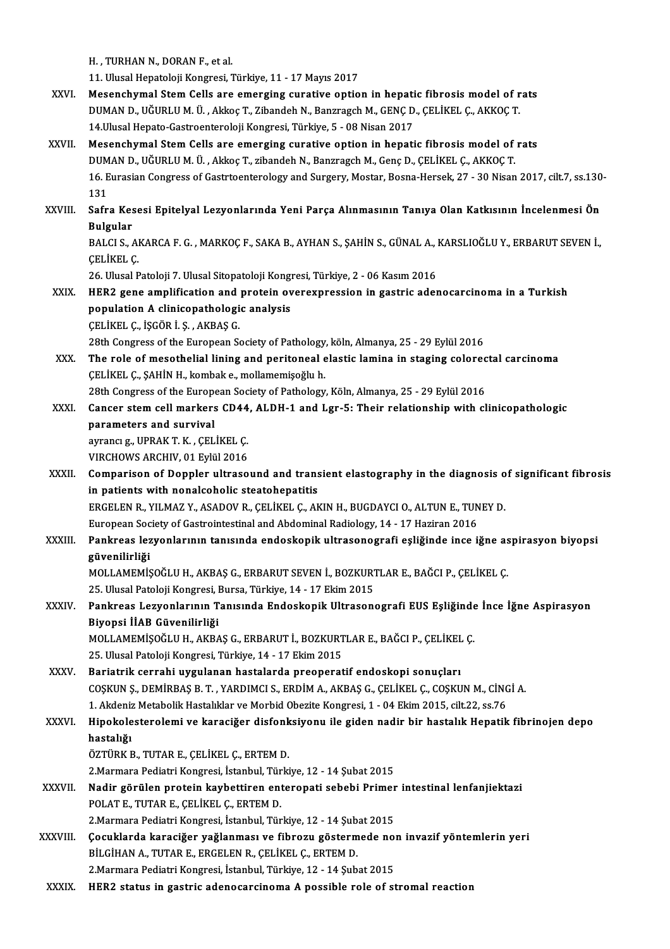H., TURHAN N., DORAN F., et al.

11. Ulusal Hepatoloji Kongresi, Türkiye, 11 - 17 Mayıs 2017

- H. , TURHAN N., DORAN F., et al.<br>11. Ulusal Hepatoloji Kongresi, Türkiye, 11 17 Mayıs 2017<br>XXVI. Mesenchymal Stem Cells are emerging curative option in hepatic fibrosis model of rats<br>DUMAN D. HĞURLU M Ü. Akkas T. Zibanda 11. Ulusal Hepatoloji Kongresi, Türkiye, 11 - 17 Mayıs 2017<br>Mesenchymal Stem Cells are emerging curative option in hepatic fibrosis model of r<br>DUMAN D., UĞURLU M. Ü. , Akkoç T., Zibandeh N., Banzragch M., GENÇ D., ÇELİKEL Mesenchymal Stem Cells are emerging curative option in hepati<br>DUMAN D., UĞURLU M. Ü. , Akkoç T., Zibandeh N., Banzragch M., GENÇ D<br>14.Ulusal Hepato-Gastroenteroloji Kongresi, Türkiye, 5 - 08 Nisan 2017<br>Mesenshumal Stem Cel DUMAN D., UĞURLU M. Ü. , Akkoç T., Zibandeh N., Banzragch M., GENÇ D., ÇELİKEL Ç., AKKOÇ T.<br>14.Ulusal Hepato-Gastroenteroloji Kongresi, Türkiye, 5 - 08 Nisan 2017<br>XXVII. Mesenchymal Stem Cells are emerging curative option
- 14.Ulusal Hepato-Gastroenteroloji Kongresi, Türkiye, 5 08 Nisan 2017<br>Mesenchymal Stem Cells are emerging curative option in hepatic fibrosis model of<br>DUMAN D., UĞURLU M. Ü. , Akkoç T., zibandeh N., Banzragch M., Genç D., 16. Eurasian Congress of Gastrtoenterology and Surgery, Mostar, Bosna-Hersek, 27 - 30 Nisan 2017, cilt.7, ss.130-<br>131 0<br>16 E<br>131<br>Safr 16. Eurasian Congress of Gastrtoenterology and Surgery, Mostar, Bosna-Hersek, 27 - 30 Nisan 2017, cilt.7, ss.130<br>131<br>XXVIII. Safra Kesesi Epitelyal Lezyonlarında Yeni Parça Alınmasının Tanıya Olan Katkısının İncelenmes
- 131<br>Safra Kes<br>Bulgular<br>PALCLS Safra Kesesi Epitelyal Lezyonlarında Yeni Parça Alınmasının Tanıya Olan Katkısının İncelenmesi Ön<br>Bulgular<br>BALCI S., AKARCA F. G. , MARKOÇ F., SAKA B., AYHAN S., ŞAHİN S., GÜNAL A., KARSLIOĞLU Y., ERBARUT SEVEN İ.,<br>CELİKEL

Bulgular<br>BALCI S., AKARCA F. G. , MARKOÇ F., SAKA B., AYHAN S., ŞAHİN S., GÜNAL A., KARSLIOĞLU Y., ERBARUT SEVEN İ.,<br>CELİKEL C. BALCI S., AKARCA F. G. , MARKOÇ F., SAKA B., AYHAN S., ŞAHİN S., GÜNAL A., 1<br>ÇELİKEL Ç.<br>26. Ulusal Patoloji 7. Ulusal Sitopatoloji Kongresi, Türkiye, 2 - 06 Kasım 2016<br>HEP2. sene emplifisation and pratein evenevpression in

CELİKEL C.<br>26. Ulusal Patoloji 7. Ulusal Sitopatoloji Kongresi, Türkiye, 2 - 06 Kasım 2016<br>XXIX. HER2 gene amplification and protein overexpression in gastric adenocarcinoma in a Turkish<br>population A elinisopathologia 26. Ulusal Patoloji 7. Ulusal Sitopatoloji Kong<br>HER2 gene amplification and protein ov<br>population A clinicopathologic analysis<br>CELIVEL G ISCOP LS AVPAS C HER2 gene amplification and<br>population A clinicopathologi<br>ÇELİKEL Ç., İŞGÖR İ. Ş., AKBAŞ G.<br>28th Congress of the European S population A clinicopathologic analysis<br>CELİKEL Ç., İŞGÖR İ. Ş. , AKBAŞ G.<br>28th Congress of the European Society of Pathology, köln, Almanya, 25 - 29 Eylül 2016 CELIKEL C., ISGÖR I. S., AKBAS G.<br>28th Congress of the European Society of Pathology, köln, Almanya, 25 - 29 Eylül 2016<br>XXX. The role of mesothelial lining and peritoneal elastic lamina in staging colorectal carcinoma<br>CELI

ÇELİKEL Ç., ŞAHİN H., kombak e., mollamemişoğlu h. The role of mesothelial lining and peritoneal elastic lamina in staging colorec<br>CELİKEL Ç., ŞAHİN H., kombak e., mollamemişoğlu h.<br>28th Congress of the European Society of Pathology, Köln, Almanya, 25 - 29 Eylül 2016<br>Cange

28th Congress of the European Society of Pathology, Köln, Almanya, 25 - 29 Eylül 2016

XXXI. Cancer stem cell markers CD44, ALDH-1 and Lgr-5: Their relationship with clinicopathologic<br>parameters and survival Cancer stem cell markers CD44<br>parameters and survival<br>ayrancıg., UPRAK T. K. , ÇELİKEL Ç.<br>VIPCHOWS APCHIV 01 Felül 2016 parameters and survival<br>ayrancı g., UPRAK T. K. , ÇELİKEL Ç.<br>VIRCHOWS ARCHIV, 01 Eylül 2016<br>Comnarison of Donnlar ultraso

ayrancı g., UPRAK T. K. , ÇELİKEL Ç.<br>VIRCHOWS ARCHIV, 01 Eylül 2016<br>XXXII. Comparison of Doppler ultrasound and transient elastography in the diagnosis of significant fibrosis<br>in patients with penalsabalis steatebenati VIRCHOWS ARCHIV, 01 Eylül 2016<br>Comparison of Doppler ultrasound and trans<br>in patients with nonalcoholic steatohepatitis<br>ERCELEN B. VILM47 V. ASADOV B. CELİKEL C. AL Comparison of Doppler ultrasound and transient elastography in the diagnosis o<br>in patients with nonalcoholic steatohepatitis<br>ERGELEN R., YILMAZ Y., ASADOV R., ÇELİKEL Ç., AKIN H., BUGDAYCI O., ALTUN E., TUNEY D.<br>European S

in patients with nonalcoholic steatohepatitis<br>ERGELEN R., YILMAZ Y., ASADOV R., ÇELİKEL Ç., AKIN H., BUGDAYCI O., ALTUN E., TUN<br>European Society of Gastrointestinal and Abdominal Radiology, 14 - 17 Haziran 2016<br>Pankrees Je

# ERGELEN R., YILMAZ Y., ASADOV R., ÇELİKEL Ç., AKIN H., BUGDAYCI O., ALTUN E., TUNEY D.<br>European Society of Gastrointestinal and Abdominal Radiology, 14 - 17 Haziran 2016<br>XXXIII. Pankreas lezyonlarının tanısında endoskopik European Soc<br><mark>Pankreas lez</mark><br>güvenilirliği<br>MOLLAMEMİS

MOLLAMEMİŞOĞLUH.,AKBAŞG.,ERBARUTSEVENİ.,BOZKURTLARE.,BAĞCIP.,ÇELİKEL Ç. güvenilirliği<br>MOLLAMEMİŞOĞLU H., AKBAŞ G., ERBARUT SEVEN İ., BOZKURT<br>25. Ulusal Patoloji Kongresi, Bursa, Türkiye, 14 - 17 Ekim 2015<br>Pankress Lewyndonunun Tanısında Endeskanik Ultrasanı

### MOLLAMEMİŞOĞLU H., AKBAŞ G., ERBARUT SEVEN İ., BOZKURTLAR E., BAĞCI P., ÇELİKEL Ç.<br>25. Ulusal Patoloji Kongresi, Bursa, Türkiye, 14 - 17 Ekim 2015<br>XXXIV. Pankreas Lezyonlarının Tanısında Endoskopik Ultrasonografi EUS E 25. Ulusal Patoloji Kongresi, I<br>Pankreas Lezyonlarının T<br>Biyopsi İİAB Güvenilirliği<br>MOLLAMEMİSOĞLU H. AKRA Pankreas Lezyonlarının Tanısında Endoskopik Ultrasonografi EUS Eşliğinde<br>Biyopsi İİAB Güvenilirliği<br>MOLLAMEMİŞOĞLU H., AKBAŞ G., ERBARUT İ., BOZKURTLAR E., BAĞCI P., ÇELİKEL Ç.<br>25 Ulugal Patalaji Kangresi Türkiye 14, 17 Ek

Biyopsi İİAB Güvenilirliği<br>MOLLAMEMİŞOĞLU H., AKBAŞ G., ERBARUT İ., BOZKURTLAR E., BAĞCI P., ÇELİKEL Ç.<br>25. Ulusal Patoloji Kongresi, Türkiye, 14 - 17 Ekim 2015

XXXV. Bariatrik cerrahi uygulanan hastalarda preoperatif endoskopi sonuçları 25. Ulusal Patoloji Kongresi, Türkiye, 14 - 17 Ekim 2015<br>Bariatrik cerrahi uygulanan hastalarda preoperatif endoskopi sonuçları<br>COŞKUN Ş., DEMİRBAŞ B. T. , YARDIMCI S., ERDİM A., AKBAŞ G., ÇELİKEL Ç., COŞKUN M., CİNGİ A.<br>1 Bariatrik cerrahi uygulanan hastalarda preoperatif endoskopi sonuçları<br>COŞKUN Ş., DEMİRBAŞ B. T. , YARDIMCI S., ERDİM A., AKBAŞ G., ÇELİKEL Ç., COŞKUN M., CİNC<br>1. Akdeniz Metabolik Hastalıklar ve Morbid Obezite Kongresi, 1 COŞKUN Ş., DEMİRBAŞ B. T. , YARDIMCI S., ERDİM A., AKBAŞ G., ÇELİKEL Ç., COŞKUN M., CİNGİ A.<br>1. Akdeniz Metabolik Hastalıklar ve Morbid Obezite Kongresi, 1 - 04 Ekim 2015, cilt.22, ss.76<br>XXXVI. Hipokolesterolemi ve kar

### 1. Akdeniz<br><mark>Hipokole</mark><br>hastalığı<br>öz<del>r</del>üp*v* t Hipokolesterolemi ve karaciğer disfonk<br>hastalığı<br>ÖZTÜRK B., TUTAR E., ÇELİKEL Ç., ERTEM D.<br>2 Marmana Bediatri Kangresi, İstanbul Türki hastalığı<br>ÖZTÜRK B., TUTAR E., ÇELİKEL Ç., ERTEM D.<br>2.Marmara Pediatri Kongresi, İstanbul, Türkiye, 12 - 14 Şubat 2015<br>Nadin görülen pretein keybettiren entereneti sebebi Primer

- ÖZTÜRK B., TUTAR E., ÇELİKEL Ç., ERTEM D.<br>2.Marmara Pediatri Kongresi, İstanbul, Türkiye, 12 14 Şubat 2015<br>XXXVII. Nadir görülen protein kaybettiren enteropati sebebi Primer intestinal lenfanjiektazi 2.Marmara Pediatri Kongresi, İstanbul, Tür<br>Nadir görülen protein kaybettiren ent<br>POLAT E., TUTAR E., ÇELİKEL Ç., ERTEM D.<br>2 Marmara Pediatri Kongresi, İstanbul Tür Nadir görülen protein kaybettiren enteropati sebebi Primer<br>POLAT E., TUTAR E., ÇELİKEL Ç., ERTEM D.<br>2.Marmara Pediatri Kongresi, İstanbul, Türkiye, 12 - 14 Şubat 2015<br>Cosuklarda kanasiğen veğlenmesi ve fihresu, göstermede POLAT E., TUTAR E., ÇELİKEL Ç., ERTEM D.<br>2.Marmara Pediatri Kongresi, İstanbul, Türkiye, 12 - 14 Şubat 2015<br>XXXVIII. Çocuklarda karaciğer yağlanması ve fibrozu göstermede non invazif yöntemlerin yeri
	-
- 2.Marmara Pediatri Kongresi, İstanbul, Türkiye, 12 14 Şub.<br>Çocuklarda karaciğer yağlanması ve fibrozu gösterm<br>BİLGİHAN A., TUTAR E., ERGELEN R., ÇELİKEL Ç., ERTEM D.<br>2 Marmara Pediatri Kongresi, İstanbul Türkiye, 12 14 Cocuklarda karaciğer yağlanması ve fibrozu göstermede no:<br>BİLGİHAN A., TUTAR E., ERGELEN R., ÇELİKEL Ç., ERTEM D.<br>2.Marmara Pediatri Kongresi, İstanbul, Türkiye, 12 - 14 Şubat 2015<br>HER2 status in sastris adenesarsinema A n BİLGİHAN A., TUTAR E., ERGELEN R., ÇELİKEL Ç., ERTEM D.<br>2.Marmara Pediatri Kongresi, İstanbul, Türkiye, 12 - 14 Şubat 2015<br>XXXIX. HER2 status in gastric adenocarcinoma A possible role of stromal reaction
-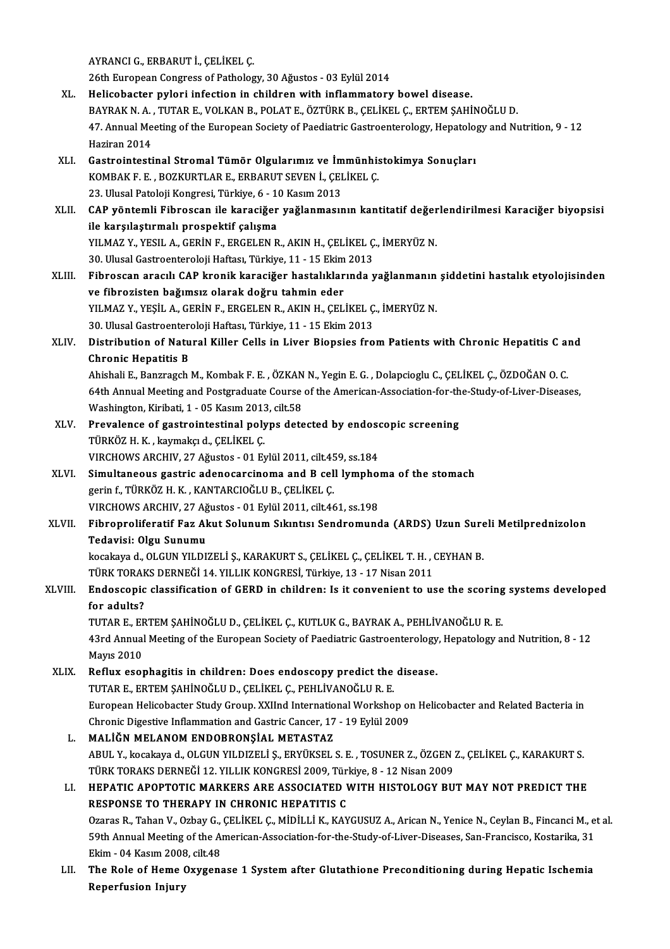AYRANCIG.,ERBARUTİ.,ÇELİKEL Ç.

26th European Congress of Pathology, 30 Ağustos - 03 Eylül 2014

- XL. Helicobacter pylori infection in children with inflammatory bowel disease. 26th European Congress of Pathology, 30 Ağustos - 03 Eylül 2014<br>Helicobacter pylori infection in children with inflammatory bowel disease.<br>BAYRAK N. A. , TUTAR E., VOLKAN B., POLAT E., ÖZTÜRK B., ÇELİKEL Ç., ERTEM ŞAHİNOĞL 47. Annual Meeting of the European Society of Paediatric Gastroenterology, Hepatology and Nutrition, 9 - 12<br>Haziran 2014 BAYRAK N. A.<br>47. Annual Me<br>Haziran 2014<br>Castrointesti 47. Annual Meeting of the European Society of Paediatric Gastroenterology, Hepatology<br>Haziran 2014<br>XLI. Gastrointestinal Stromal Tümör Olgularımız ve İmmünhistokimya Sonuçları<br>KOMPAK E. E. POZKUPTI AR E. ERRARUT SEVEN İ. C
- Haziran 2014<br>Gastrointestinal Stromal Tümör Olgularımız ve İmmünhis<br>KOMBAK F. E. , BOZKURTLAR E., ERBARUT SEVEN İ., ÇELİKEL Ç.<br>22 Hlusal Patalaji Kongresi Türkiye 6 10 Kasım 2012 Gastrointestinal Stromal Tümör Olgularımız ve İm<br>KOMBAK F. E. , BOZKURTLAR E., ERBARUT SEVEN İ., ÇEI<br>23. Ulusal Patoloji Kongresi, Türkiye, 6 - 10 Kasım 2013<br>CAB vöntemli Eihnessen ile karasiğer veğlenmesu
- KOMBAK F. E. , BOZKURTLAR E., ERBARUT SEVEN İ., ÇELİKEL Ç.<br>23. Ulusal Patoloji Kongresi, Türkiye, 6 10 Kasım 2013<br>XLII. CAP yöntemli Fibroscan ile karaciğer yağlanmasının kantitatif değerlendirilmesi Karaciğer biyops 23. Ulusal Patoloji Kongresi, Türkiye, 6 - 1<br>CAP yöntemli Fibroscan ile karaciğer<br>ile karşılaştırmalı prospektif çalışma<br>YU MAZ Y, YESU A, CERİNE, ERCELEN B CAP yöntemli Fibroscan ile karaciğer yağlanmasının kantitatif değer<br>ile karşılaştırmalı prospektif çalışma<br>YILMAZ Y., YESIL A., GERİN F., ERGELEN R., AKIN H., ÇELİKEL Ç., İMERYÜZ N.<br>20 Ulucal Cestreentereleji Heftes: Türki ile karşılaştırmalı prospektif çalışma<br>1930. YILMAZ Y., YESIL A., GERİN F., ERGELEN R., AKIN H., ÇELİKEL Ç., İMERYÜZ N.<br>30. Ulusal Gastroenteroloji Haftası, Türkiye, 11 - 15 Ekim 2013 YILMAZ Y., YESIL A., GERİN F., ERGELEN R., AKIN H., ÇELİKEL Ç., İMERYÜZ N.<br>30. Ulusal Gastroenteroloji Haftası, Türkiye, 11 - 15 Ekim 2013<br>XLIII. Fibroscan aracılı CAP kronik karaciğer hastalıklarında yağlanmanın şidde
- 30. Ulusal Gastroenteroloji Haftası, Türkiye, 11 15 Ekim<br>Fibroscan aracılı CAP kronik karaciğer hastalıklar<br>ve fibrozisten bağımsız olarak doğru tahmin eder<br>vu MAZ V. VESİL A, GERİN E, ERGELEN B, AKIN H, GEL Fibroscan aracılı CAP kronik karaciğer hastalıklarında yağlanmanın<br>ve fibrozisten bağımsız olarak doğru tahmin eder<br>YILMAZ Y., YEŞİL A., GERİN F., ERGELEN R., AKIN H., ÇELİKEL Ç., İMERYÜZ N.<br>20 Ulucal Castroontaraleji Haft ve fibrozisten bağımsız olarak doğru tahmin eder<br>YILMAZ Y., YEŞİL A., GERİN F., ERGELEN R., AKIN H., ÇELİKEL Ç., İMERYÜZ N. 30. Ulusal Gastroenteroloji Haftası, Türkiye, 11 - 15 Ekim 2013
- XLIV. Distribution of Natural Killer Cells in Liver Biopsies from Patients with Chronic Hepatitis C and<br>Chronic Hepatitis B Distribution of Natural Killer Cells in Liver Biopsies from Patients with Chronic Hepatitis C an<br>Chronic Hepatitis B<br>Ahishali E., Banzragch M., Kombak F. E. , ÖZKAN N., Yegin E. G. , Dolapcioglu C., ÇELİKEL Ç., ÖZDOĞAN O.

Chronic Hepatitis B<br>Ahishali E., Banzragch M., Kombak F. E. , ÖZKAN N., Yegin E. G. , Dolapcioglu C., ÇELİKEL Ç., ÖZDOĞAN O. C.<br>64th Annual Meeting and Postgraduate Course of the American-Association-for-the-Study-of-Liver Ahishali E., Banzragch M., Kombak F. E. , ÖZKAN<br>64th Annual Meeting and Postgraduate Course<br>Washington, Kiribati, 1 - 05 Kasım 2013, cilt.58<br>Prevalence of gestreintestinal polyns dete 64th Annual Meeting and Postgraduate Course of the American-Association-for-th<br>Washington, Kiribati, 1 - 05 Kasım 2013, cilt.58<br>XLV. Prevalence of gastrointestinal polyps detected by endoscopic screening<br>Tüpvöz u ve kaymak

- Washington, Kiribati, 1 05 Kasım 2013<br>Prevalence of gastrointestinal poly<br>TÜRKÖZ H. K. , kaymakçı d., ÇELİKEL Ç.<br>VIRCHOWS ARCHIV, 27 Ağustas 01 Er Prevalence of gastrointestinal polyps detected by endose<br>TÜRKÖZ H. K. , kaymakçı d., ÇELİKEL Ç.<br>VIRCHOWS ARCHIV, 27 Ağustos - 01 Eylül 2011, cilt.459, ss.184<br>Simultaneous gestris adenosarsinema and B sell lumphai TÜRKÖZ H. K. , kaymakçı d., ÇELİKEL Ç.<br>VIRCHOWS ARCHIV, 27 Ağustos - 01 Eylül 2011, cilt.459, ss.184<br>XLVI. Simultaneous gastric adenocarcinoma and B cell lymphoma of the stomach<br>Terric Corin f. TÜRKÖZ H. K. KANTARCIOČI H.B
- VIRCHOWS ARCHIV, 27 Ağustos 01 Eylül 2011, cilt.459, ss.184<br>Simultaneous gastric adenocarcinoma and B cell lympho<br>gerin f., TÜRKÖZ H. K., KANTARCIOĞLU B., ÇELİKEL Ç.<br>VIRCHOWS ARCHIV, 27 Ağustos 01 Eylül 2011, cilt.461, Simultaneous gastric adenocarcinoma and B cell lymphor<br>gerin f., TÜRKÖZ H. K. , KANTARCIOĞLU B., ÇELİKEL Ç.<br>VIRCHOWS ARCHIV, 27 Ağustos - 01 Eylül 2011, cilt.461, ss.198<br>Eihrenreliferatif Eeg Alut Selunum Sıkıntısı Sendrem gerin f., TÜRKÖZ H. K. , KANTARCIOĞLU B., ÇELİKEL Ç.<br>VIRCHOWS ARCHIV, 27 Ağustos - 01 Eylül 2011, cilt.461, ss.198<br>XLVII. Fibroproliferatif Faz Akut Solunum Sıkıntısı Sendromunda (ARDS) Uzun Sureli Metilprednizolon<br>Ted
- VIRCHOWS ARCHIV, 27 Ağ<br>Fibroproliferatif Faz Al<br>Tedavisi: Olgu Sunumu<br>kosakaya 4, OLGUN VILDY Fibroproliferatif Faz Akut Solunum Sıkıntısı Sendromunda (ARDS) Uzun Sure<br>Tedavisi: Olgu Sunumu<br>kocakaya d., OLGUN YILDIZELİ Ş., KARAKURT S., ÇELİKEL Ç., ÇELİKEL T. H. , CEYHAN B.<br>TÜRK TORAKS DERNEĞİ 14 YU LIK KONGRESİ Tür Tedavisi: Olgu Sunumu<br>kocakaya d., OLGUN YILDIZELİ Ş., KARAKURT S., ÇELİKEL Ç., ÇELİKEL T. H. , (<br>TÜRK TORAKS DERNEĞİ 14. YILLIK KONGRESİ, Türkiye, 13 - 17 Nisan 2011<br>Endessenis elessifisation of CEBD in shildron; Is it so

kocakaya d., OLGUN YILDIZELİ Ş., KARAKURT S., ÇELİKEL Ç., ÇELİKEL T. H. , CEYHAN B.<br>TÜRK TORAKS DERNEĞİ 14. YILLIK KONGRESİ, Türkiye, 13 - 17 Nisan 2011<br>XLVIII. Endoscopic classification of GERD in children: Is it convenie TÜRK TORAH<br><mark>Endoscopic</mark><br>for adults?<br>TUTAP E. ER Endoscopic classification of GERD in children: Is it convenient to use the scoring<br>for adults?<br>TUTAR E., ERTEM ŞAHİNOĞLU D., ÇELİKEL Ç., KUTLUK G., BAYRAK A., PEHLİVANOĞLU R. E.<br>43rd Annual Meeting of the European Society

43rd Annual Meeting of the European Society of Paediatric Gastroenterology, Hepatology and Nutrition, 8 - 12<br>Mayıs 2010 TUTAR E., EF<br>43rd Annual<br>Mayıs 2010<br>Poflux eser 43rd Annual Meeting of the European Society of Paediatric Gastroenterology<br>Mayıs 2010<br>XLIX. Reflux esophagitis in children: Does endoscopy predict the disease.<br>TUTAP E EPTEM SAHINOČLU D. CELIKEL C. PEHLIVANOČLU P. E

Mayıs 2010<br>Reflux esophagitis in children: Does endoscopy predict the<br>TUTAR E., ERTEM ŞAHİNOĞLU D., ÇELİKEL Ç., PEHLİVANOĞLU R. E.<br>European Helisebaster Study Creup, YYUnd International Werksbe TUTAR E., ERTEM ŞAHİNOĞLU D., ÇELİKEL Ç., PEHLİVANOĞLU R. E.<br>European Helicobacter Study Group. XXIInd International Workshop on Helicobacter and Related Bacteria in TUTAR E., ERTEM ŞAHİNOĞLU D., ÇELİKEL Ç., PEHLİVANOĞLU R. E.<br>European Helicobacter Study Group. XXIInd International Workshop on<br>Chronic Digestive Inflammation and Gastric Cancer, 17 - 19 Eylül 2009<br>MALİĞN MELANOM ENDORRON European Helicobacter Study Group, XXIInd Internatio<br>Chronic Digestive Inflammation and Gastric Cancer, 17<br>L. MALIĞN MELANOM ENDOBRONŞIAL METASTAZ

Chronic Digestive Inflammation and Gastric Cancer, 17 - 19 Eylül 2009<br>MALİĞN MELANOM ENDOBRONŞİAL METASTAZ<br>ABUL Y., kocakaya d., OLGUN YILDIZELİ Ş., ERYÜKSEL S. E. , TOSUNER Z., ÖZGEN Z., ÇELİKEL Ç., KARAKURT S.<br>TÜRK TORAK MALİĞN MELANOM ENDOBRONŞİAL METASTAZ<br>ABUL Y., kocakaya d., OLGUN YILDIZELİ Ş., ERYÜKSEL S. E. , TOSUNER Z., ÖZGEN ;<br>TÜRK TORAKS DERNEĞİ 12. YILLIK KONGRESİ 2009, Türkiye, 8 - 12 Nisan 2009<br>HERATIC ARORTOTIC MARKERS ARE ASS ABUL Y., kocakaya d., OLGUN YILDIZELİ Ş., ERYÜKSEL S. E. , TOSUNER Z., ÖZGEN Z., ÇELİKEL Ç., KARAKURT S.<br>TÜRK TORAKS DERNEĞİ 12. YILLIK KONGRESİ 2009, Türkiye, 8 - 12 Nisan 2009<br>LI. HEPATIC APOPTOTIC MARKERS ARE ASSOCIATED

### TÜRK TORAKS DERNEĞİ 12. YILLIK KONGRESİ 2009, Türkiye, 8 - 12 Nisan 2009<br>LI. HEPATIC APOPTOTIC MARKERS ARE ASSOCIATED WITH HISTOLOGY BUT MAY NOT PREDICT THE<br>RESPONSE TO THERAPY IN CHRONIC HEPATITIS C HEPATIC APOPTOTIC MARKERS ARE ASSOCIATED WITH HISTOLOGY BUT MAY NOT PREDICT THE<br>RESPONSE TO THERAPY IN CHRONIC HEPATITIS C<br>Ozaras R., Tahan V., Ozbay G., ÇELİKEL Ç., MİDİLLİ K., KAYGUSUZ A., Arican N., Yenice N., Ceylan B. RESPONSE TO THERAPY IN CHRONIC HEPATITIS C<br>Ozaras R., Tahan V., Ozbay G., ÇELİKEL Ç., MİDİLLİ K., KAYGUSUZ A., Arican N., Yenice N., Ceylan B., Fincanci M., e<br>59th Annual Meeting of the American-Association-for-the-Study-o Ozaras R., Tahan V., Ozbay G.,<br>59th Annual Meeting of the Alexim - 04 Kasım 2008, cilt.48<br>The Bole of Heme Ouveens 59th Annual Meeting of the American-Association-for-the-Study-of-Liver-Diseases, San-Francisco, Kostarika, 31<br>Ekim - 04 Kasım 2008, cilt.48<br>LII. The Role of Heme Oxygenase 1 System after Glutathione Preconditioning during

Ekim - 04 Kasım 2008<br>The Role of Heme (<br>Reperfusion Injury